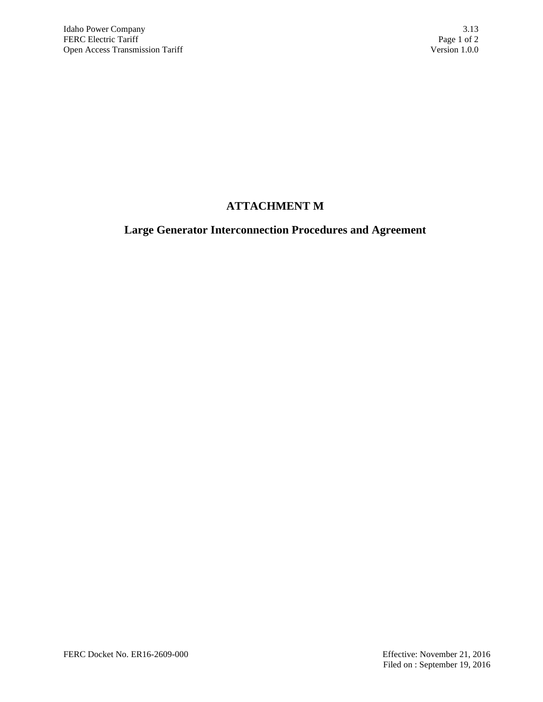# **ATTACHMENT M**

# **Large Generator Interconnection Procedures and Agreement**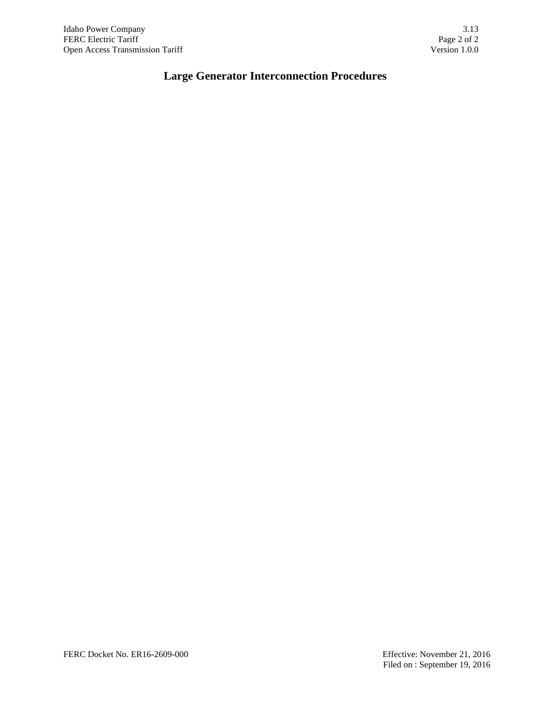# **Large Generator Interconnection Procedures**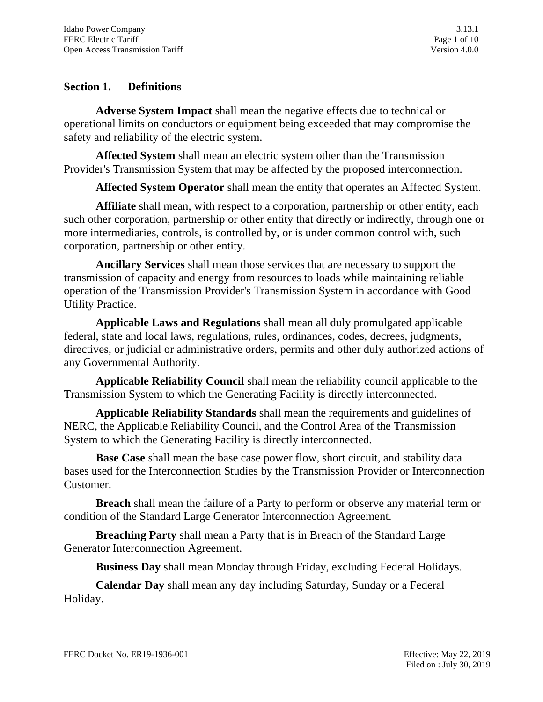# **Section 1. Definitions**

**Adverse System Impact** shall mean the negative effects due to technical or operational limits on conductors or equipment being exceeded that may compromise the safety and reliability of the electric system.

**Affected System** shall mean an electric system other than the Transmission Provider's Transmission System that may be affected by the proposed interconnection.

**Affected System Operator** shall mean the entity that operates an Affected System.

**Affiliate** shall mean, with respect to a corporation, partnership or other entity, each such other corporation, partnership or other entity that directly or indirectly, through one or more intermediaries, controls, is controlled by, or is under common control with, such corporation, partnership or other entity.

**Ancillary Services** shall mean those services that are necessary to support the transmission of capacity and energy from resources to loads while maintaining reliable operation of the Transmission Provider's Transmission System in accordance with Good Utility Practice.

**Applicable Laws and Regulations** shall mean all duly promulgated applicable federal, state and local laws, regulations, rules, ordinances, codes, decrees, judgments, directives, or judicial or administrative orders, permits and other duly authorized actions of any Governmental Authority.

**Applicable Reliability Council** shall mean the reliability council applicable to the Transmission System to which the Generating Facility is directly interconnected.

**Applicable Reliability Standards** shall mean the requirements and guidelines of NERC, the Applicable Reliability Council, and the Control Area of the Transmission System to which the Generating Facility is directly interconnected.

**Base Case** shall mean the base case power flow, short circuit, and stability data bases used for the Interconnection Studies by the Transmission Provider or Interconnection Customer.

**Breach** shall mean the failure of a Party to perform or observe any material term or condition of the Standard Large Generator Interconnection Agreement.

**Breaching Party** shall mean a Party that is in Breach of the Standard Large Generator Interconnection Agreement.

**Business Day** shall mean Monday through Friday, excluding Federal Holidays.

**Calendar Day** shall mean any day including Saturday, Sunday or a Federal Holiday.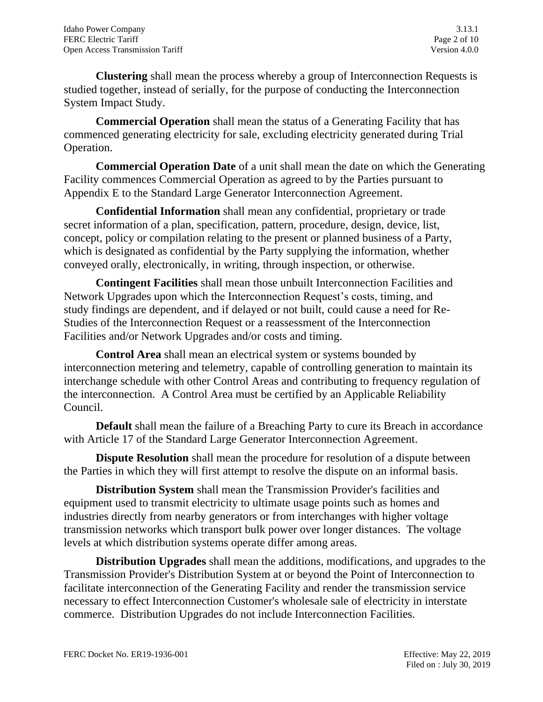**Clustering** shall mean the process whereby a group of Interconnection Requests is studied together, instead of serially, for the purpose of conducting the Interconnection System Impact Study.

**Commercial Operation** shall mean the status of a Generating Facility that has commenced generating electricity for sale, excluding electricity generated during Trial Operation.

**Commercial Operation Date** of a unit shall mean the date on which the Generating Facility commences Commercial Operation as agreed to by the Parties pursuant to Appendix E to the Standard Large Generator Interconnection Agreement.

**Confidential Information** shall mean any confidential, proprietary or trade secret information of a plan, specification, pattern, procedure, design, device, list, concept, policy or compilation relating to the present or planned business of a Party, which is designated as confidential by the Party supplying the information, whether conveyed orally, electronically, in writing, through inspection, or otherwise.

**Contingent Facilities** shall mean those unbuilt Interconnection Facilities and Network Upgrades upon which the Interconnection Request's costs, timing, and study findings are dependent, and if delayed or not built, could cause a need for Re-Studies of the Interconnection Request or a reassessment of the Interconnection Facilities and/or Network Upgrades and/or costs and timing.

**Control Area** shall mean an electrical system or systems bounded by interconnection metering and telemetry, capable of controlling generation to maintain its interchange schedule with other Control Areas and contributing to frequency regulation of the interconnection. A Control Area must be certified by an Applicable Reliability Council.

**Default** shall mean the failure of a Breaching Party to cure its Breach in accordance with Article 17 of the Standard Large Generator Interconnection Agreement.

**Dispute Resolution** shall mean the procedure for resolution of a dispute between the Parties in which they will first attempt to resolve the dispute on an informal basis.

**Distribution System** shall mean the Transmission Provider's facilities and equipment used to transmit electricity to ultimate usage points such as homes and industries directly from nearby generators or from interchanges with higher voltage transmission networks which transport bulk power over longer distances. The voltage levels at which distribution systems operate differ among areas.

**Distribution Upgrades** shall mean the additions, modifications, and upgrades to the Transmission Provider's Distribution System at or beyond the Point of Interconnection to facilitate interconnection of the Generating Facility and render the transmission service necessary to effect Interconnection Customer's wholesale sale of electricity in interstate commerce. Distribution Upgrades do not include Interconnection Facilities.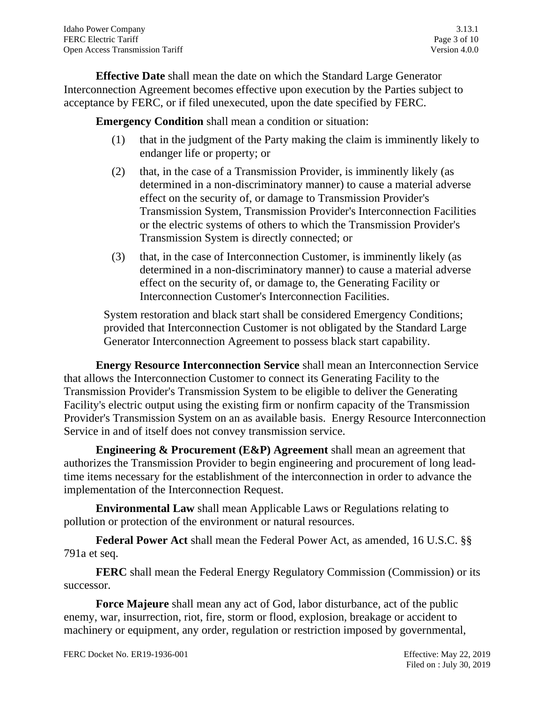**Effective Date** shall mean the date on which the Standard Large Generator Interconnection Agreement becomes effective upon execution by the Parties subject to acceptance by FERC, or if filed unexecuted, upon the date specified by FERC.

**Emergency Condition** shall mean a condition or situation:

- (1) that in the judgment of the Party making the claim is imminently likely to endanger life or property; or
- (2) that, in the case of a Transmission Provider, is imminently likely (as determined in a non-discriminatory manner) to cause a material adverse effect on the security of, or damage to Transmission Provider's Transmission System, Transmission Provider's Interconnection Facilities or the electric systems of others to which the Transmission Provider's Transmission System is directly connected; or
- (3) that, in the case of Interconnection Customer, is imminently likely (as determined in a non-discriminatory manner) to cause a material adverse effect on the security of, or damage to, the Generating Facility or Interconnection Customer's Interconnection Facilities.

System restoration and black start shall be considered Emergency Conditions; provided that Interconnection Customer is not obligated by the Standard Large Generator Interconnection Agreement to possess black start capability.

**Energy Resource Interconnection Service** shall mean an Interconnection Service that allows the Interconnection Customer to connect its Generating Facility to the Transmission Provider's Transmission System to be eligible to deliver the Generating Facility's electric output using the existing firm or nonfirm capacity of the Transmission Provider's Transmission System on an as available basis. Energy Resource Interconnection Service in and of itself does not convey transmission service.

**Engineering & Procurement (E&P) Agreement** shall mean an agreement that authorizes the Transmission Provider to begin engineering and procurement of long leadtime items necessary for the establishment of the interconnection in order to advance the implementation of the Interconnection Request.

**Environmental Law** shall mean Applicable Laws or Regulations relating to pollution or protection of the environment or natural resources.

**Federal Power Act** shall mean the Federal Power Act, as amended, 16 U.S.C. §§ 791a et seq.

**FERC** shall mean the Federal Energy Regulatory Commission (Commission) or its successor.

**Force Majeure** shall mean any act of God, labor disturbance, act of the public enemy, war, insurrection, riot, fire, storm or flood, explosion, breakage or accident to machinery or equipment, any order, regulation or restriction imposed by governmental,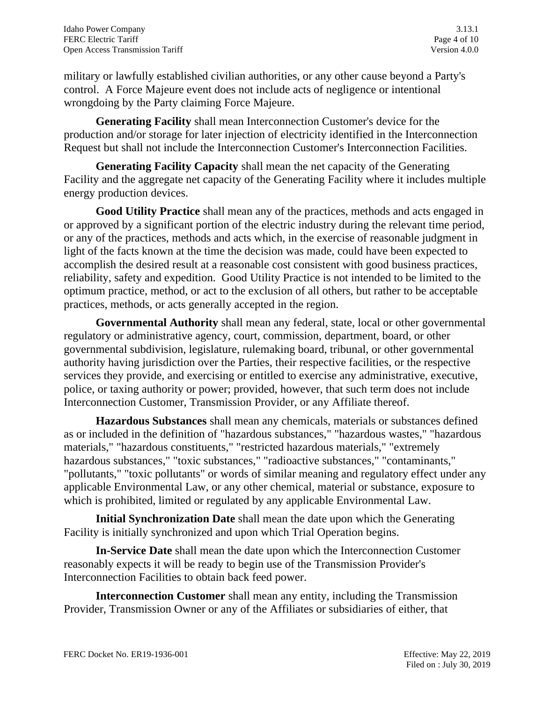military or lawfully established civilian authorities, or any other cause beyond a Party's control. A Force Majeure event does not include acts of negligence or intentional wrongdoing by the Party claiming Force Majeure.

**Generating Facility** shall mean Interconnection Customer's device for the production and/or storage for later injection of electricity identified in the Interconnection Request but shall not include the Interconnection Customer's Interconnection Facilities.

**Generating Facility Capacity** shall mean the net capacity of the Generating Facility and the aggregate net capacity of the Generating Facility where it includes multiple energy production devices.

**Good Utility Practice** shall mean any of the practices, methods and acts engaged in or approved by a significant portion of the electric industry during the relevant time period, or any of the practices, methods and acts which, in the exercise of reasonable judgment in light of the facts known at the time the decision was made, could have been expected to accomplish the desired result at a reasonable cost consistent with good business practices, reliability, safety and expedition. Good Utility Practice is not intended to be limited to the optimum practice, method, or act to the exclusion of all others, but rather to be acceptable practices, methods, or acts generally accepted in the region.

**Governmental Authority** shall mean any federal, state, local or other governmental regulatory or administrative agency, court, commission, department, board, or other governmental subdivision, legislature, rulemaking board, tribunal, or other governmental authority having jurisdiction over the Parties, their respective facilities, or the respective services they provide, and exercising or entitled to exercise any administrative, executive, police, or taxing authority or power; provided, however, that such term does not include Interconnection Customer, Transmission Provider, or any Affiliate thereof.

**Hazardous Substances** shall mean any chemicals, materials or substances defined as or included in the definition of "hazardous substances," "hazardous wastes," "hazardous materials," "hazardous constituents," "restricted hazardous materials," "extremely hazardous substances," "toxic substances," "radioactive substances," "contaminants," "pollutants," "toxic pollutants" or words of similar meaning and regulatory effect under any applicable Environmental Law, or any other chemical, material or substance, exposure to which is prohibited, limited or regulated by any applicable Environmental Law.

**Initial Synchronization Date** shall mean the date upon which the Generating Facility is initially synchronized and upon which Trial Operation begins.

**In-Service Date** shall mean the date upon which the Interconnection Customer reasonably expects it will be ready to begin use of the Transmission Provider's Interconnection Facilities to obtain back feed power.

**Interconnection Customer** shall mean any entity, including the Transmission Provider, Transmission Owner or any of the Affiliates or subsidiaries of either, that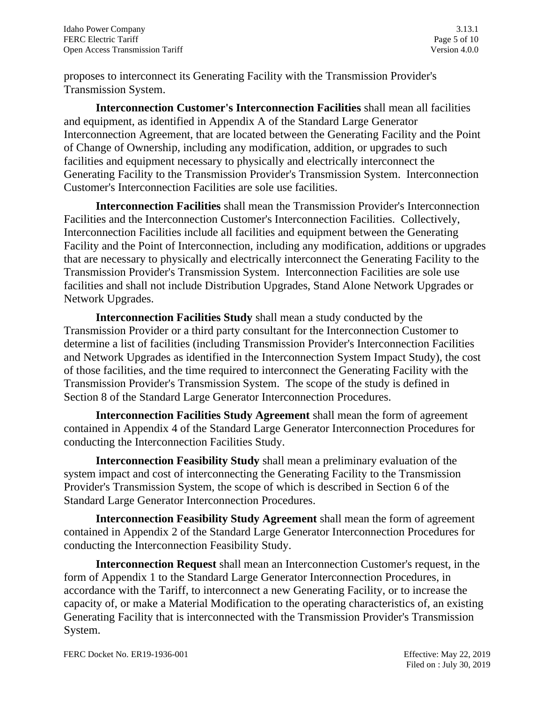proposes to interconnect its Generating Facility with the Transmission Provider's Transmission System.

**Interconnection Customer's Interconnection Facilities** shall mean all facilities and equipment, as identified in Appendix A of the Standard Large Generator Interconnection Agreement, that are located between the Generating Facility and the Point of Change of Ownership, including any modification, addition, or upgrades to such facilities and equipment necessary to physically and electrically interconnect the Generating Facility to the Transmission Provider's Transmission System. Interconnection Customer's Interconnection Facilities are sole use facilities.

**Interconnection Facilities** shall mean the Transmission Provider's Interconnection Facilities and the Interconnection Customer's Interconnection Facilities. Collectively, Interconnection Facilities include all facilities and equipment between the Generating Facility and the Point of Interconnection, including any modification, additions or upgrades that are necessary to physically and electrically interconnect the Generating Facility to the Transmission Provider's Transmission System. Interconnection Facilities are sole use facilities and shall not include Distribution Upgrades, Stand Alone Network Upgrades or Network Upgrades.

**Interconnection Facilities Study** shall mean a study conducted by the Transmission Provider or a third party consultant for the Interconnection Customer to determine a list of facilities (including Transmission Provider's Interconnection Facilities and Network Upgrades as identified in the Interconnection System Impact Study), the cost of those facilities, and the time required to interconnect the Generating Facility with the Transmission Provider's Transmission System. The scope of the study is defined in Section 8 of the Standard Large Generator Interconnection Procedures.

**Interconnection Facilities Study Agreement** shall mean the form of agreement contained in Appendix 4 of the Standard Large Generator Interconnection Procedures for conducting the Interconnection Facilities Study.

**Interconnection Feasibility Study** shall mean a preliminary evaluation of the system impact and cost of interconnecting the Generating Facility to the Transmission Provider's Transmission System, the scope of which is described in Section 6 of the Standard Large Generator Interconnection Procedures.

**Interconnection Feasibility Study Agreement** shall mean the form of agreement contained in Appendix 2 of the Standard Large Generator Interconnection Procedures for conducting the Interconnection Feasibility Study.

**Interconnection Request** shall mean an Interconnection Customer's request, in the form of Appendix 1 to the Standard Large Generator Interconnection Procedures, in accordance with the Tariff, to interconnect a new Generating Facility, or to increase the capacity of, or make a Material Modification to the operating characteristics of, an existing Generating Facility that is interconnected with the Transmission Provider's Transmission System.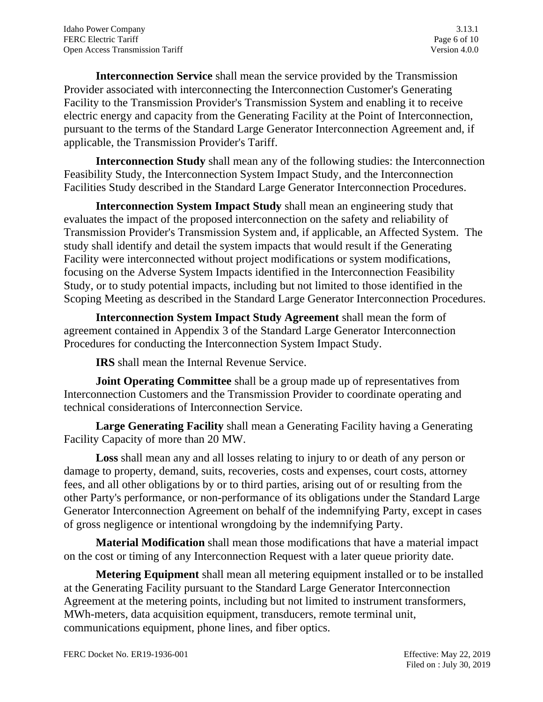**Interconnection Service** shall mean the service provided by the Transmission Provider associated with interconnecting the Interconnection Customer's Generating Facility to the Transmission Provider's Transmission System and enabling it to receive electric energy and capacity from the Generating Facility at the Point of Interconnection, pursuant to the terms of the Standard Large Generator Interconnection Agreement and, if applicable, the Transmission Provider's Tariff.

**Interconnection Study** shall mean any of the following studies: the Interconnection Feasibility Study, the Interconnection System Impact Study, and the Interconnection Facilities Study described in the Standard Large Generator Interconnection Procedures.

**Interconnection System Impact Study** shall mean an engineering study that evaluates the impact of the proposed interconnection on the safety and reliability of Transmission Provider's Transmission System and, if applicable, an Affected System. The study shall identify and detail the system impacts that would result if the Generating Facility were interconnected without project modifications or system modifications, focusing on the Adverse System Impacts identified in the Interconnection Feasibility Study, or to study potential impacts, including but not limited to those identified in the Scoping Meeting as described in the Standard Large Generator Interconnection Procedures.

**Interconnection System Impact Study Agreement** shall mean the form of agreement contained in Appendix 3 of the Standard Large Generator Interconnection Procedures for conducting the Interconnection System Impact Study.

**IRS** shall mean the Internal Revenue Service.

**Joint Operating Committee** shall be a group made up of representatives from Interconnection Customers and the Transmission Provider to coordinate operating and technical considerations of Interconnection Service.

**Large Generating Facility** shall mean a Generating Facility having a Generating Facility Capacity of more than 20 MW.

**Loss** shall mean any and all losses relating to injury to or death of any person or damage to property, demand, suits, recoveries, costs and expenses, court costs, attorney fees, and all other obligations by or to third parties, arising out of or resulting from the other Party's performance, or non-performance of its obligations under the Standard Large Generator Interconnection Agreement on behalf of the indemnifying Party, except in cases of gross negligence or intentional wrongdoing by the indemnifying Party.

**Material Modification** shall mean those modifications that have a material impact on the cost or timing of any Interconnection Request with a later queue priority date.

**Metering Equipment** shall mean all metering equipment installed or to be installed at the Generating Facility pursuant to the Standard Large Generator Interconnection Agreement at the metering points, including but not limited to instrument transformers, MWh-meters, data acquisition equipment, transducers, remote terminal unit, communications equipment, phone lines, and fiber optics.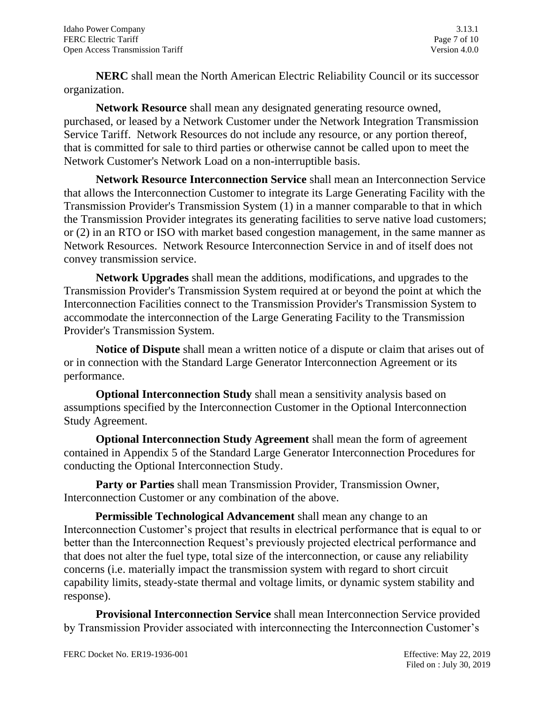**NERC** shall mean the North American Electric Reliability Council or its successor organization.

**Network Resource** shall mean any designated generating resource owned, purchased, or leased by a Network Customer under the Network Integration Transmission Service Tariff. Network Resources do not include any resource, or any portion thereof, that is committed for sale to third parties or otherwise cannot be called upon to meet the Network Customer's Network Load on a non-interruptible basis.

**Network Resource Interconnection Service** shall mean an Interconnection Service that allows the Interconnection Customer to integrate its Large Generating Facility with the Transmission Provider's Transmission System (1) in a manner comparable to that in which the Transmission Provider integrates its generating facilities to serve native load customers; or (2) in an RTO or ISO with market based congestion management, in the same manner as Network Resources. Network Resource Interconnection Service in and of itself does not convey transmission service.

**Network Upgrades** shall mean the additions, modifications, and upgrades to the Transmission Provider's Transmission System required at or beyond the point at which the Interconnection Facilities connect to the Transmission Provider's Transmission System to accommodate the interconnection of the Large Generating Facility to the Transmission Provider's Transmission System.

**Notice of Dispute** shall mean a written notice of a dispute or claim that arises out of or in connection with the Standard Large Generator Interconnection Agreement or its performance.

**Optional Interconnection Study** shall mean a sensitivity analysis based on assumptions specified by the Interconnection Customer in the Optional Interconnection Study Agreement.

**Optional Interconnection Study Agreement** shall mean the form of agreement contained in Appendix 5 of the Standard Large Generator Interconnection Procedures for conducting the Optional Interconnection Study.

**Party or Parties** shall mean Transmission Provider, Transmission Owner, Interconnection Customer or any combination of the above.

 **Permissible Technological Advancement** shall mean any change to an Interconnection Customer's project that results in electrical performance that is equal to or better than the Interconnection Request's previously projected electrical performance and that does not alter the fuel type, total size of the interconnection, or cause any reliability concerns (i.e. materially impact the transmission system with regard to short circuit capability limits, steady-state thermal and voltage limits, or dynamic system stability and response).

**Provisional Interconnection Service** shall mean Interconnection Service provided by Transmission Provider associated with interconnecting the Interconnection Customer's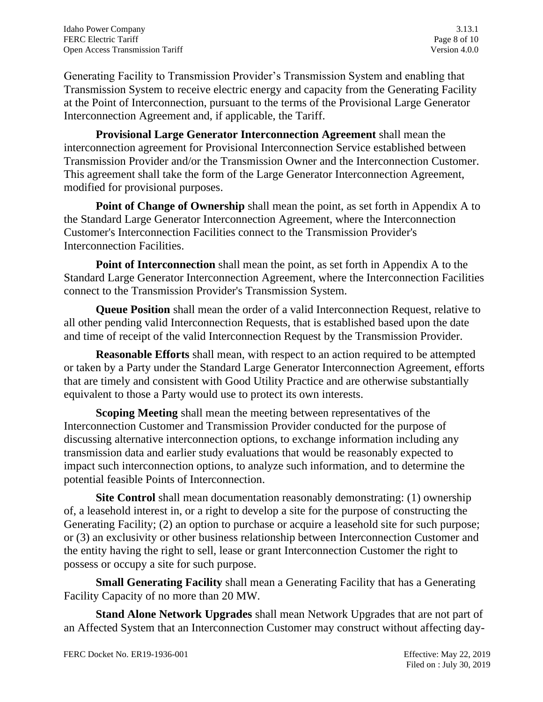Generating Facility to Transmission Provider's Transmission System and enabling that Transmission System to receive electric energy and capacity from the Generating Facility at the Point of Interconnection, pursuant to the terms of the Provisional Large Generator Interconnection Agreement and, if applicable, the Tariff.

**Provisional Large Generator Interconnection Agreement** shall mean the interconnection agreement for Provisional Interconnection Service established between Transmission Provider and/or the Transmission Owner and the Interconnection Customer. This agreement shall take the form of the Large Generator Interconnection Agreement, modified for provisional purposes.

**Point of Change of Ownership** shall mean the point, as set forth in Appendix A to the Standard Large Generator Interconnection Agreement, where the Interconnection Customer's Interconnection Facilities connect to the Transmission Provider's Interconnection Facilities.

**Point of Interconnection** shall mean the point, as set forth in Appendix A to the Standard Large Generator Interconnection Agreement, where the Interconnection Facilities connect to the Transmission Provider's Transmission System.

**Queue Position** shall mean the order of a valid Interconnection Request, relative to all other pending valid Interconnection Requests, that is established based upon the date and time of receipt of the valid Interconnection Request by the Transmission Provider.

**Reasonable Efforts** shall mean, with respect to an action required to be attempted or taken by a Party under the Standard Large Generator Interconnection Agreement, efforts that are timely and consistent with Good Utility Practice and are otherwise substantially equivalent to those a Party would use to protect its own interests.

**Scoping Meeting** shall mean the meeting between representatives of the Interconnection Customer and Transmission Provider conducted for the purpose of discussing alternative interconnection options, to exchange information including any transmission data and earlier study evaluations that would be reasonably expected to impact such interconnection options, to analyze such information, and to determine the potential feasible Points of Interconnection.

**Site Control** shall mean documentation reasonably demonstrating: (1) ownership of, a leasehold interest in, or a right to develop a site for the purpose of constructing the Generating Facility; (2) an option to purchase or acquire a leasehold site for such purpose; or (3) an exclusivity or other business relationship between Interconnection Customer and the entity having the right to sell, lease or grant Interconnection Customer the right to possess or occupy a site for such purpose.

**Small Generating Facility** shall mean a Generating Facility that has a Generating Facility Capacity of no more than 20 MW.

**Stand Alone Network Upgrades** shall mean Network Upgrades that are not part of an Affected System that an Interconnection Customer may construct without affecting day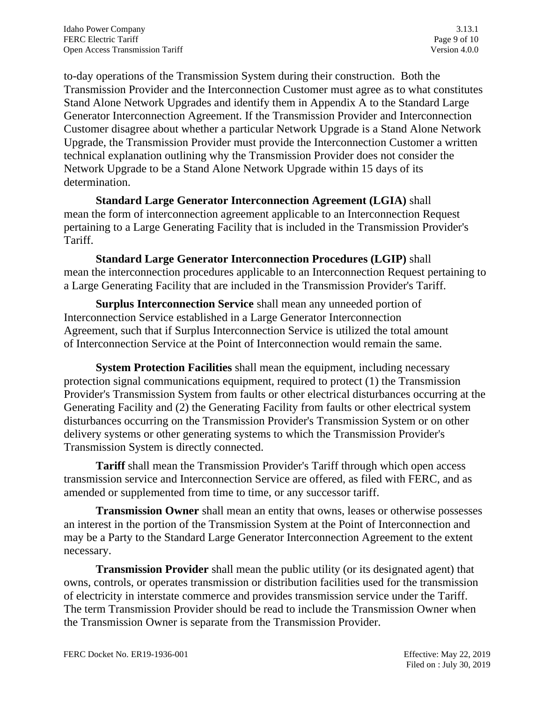to-day operations of the Transmission System during their construction. Both the Transmission Provider and the Interconnection Customer must agree as to what constitutes Stand Alone Network Upgrades and identify them in Appendix A to the Standard Large Generator Interconnection Agreement. If the Transmission Provider and Interconnection Customer disagree about whether a particular Network Upgrade is a Stand Alone Network Upgrade, the Transmission Provider must provide the Interconnection Customer a written technical explanation outlining why the Transmission Provider does not consider the Network Upgrade to be a Stand Alone Network Upgrade within 15 days of its determination.

**Standard Large Generator Interconnection Agreement (LGIA)** shall mean the form of interconnection agreement applicable to an Interconnection Request pertaining to a Large Generating Facility that is included in the Transmission Provider's Tariff.

**Standard Large Generator Interconnection Procedures (LGIP)** shall mean the interconnection procedures applicable to an Interconnection Request pertaining to a Large Generating Facility that are included in the Transmission Provider's Tariff.

**Surplus Interconnection Service** shall mean any unneeded portion of Interconnection Service established in a Large Generator Interconnection Agreement, such that if Surplus Interconnection Service is utilized the total amount of Interconnection Service at the Point of Interconnection would remain the same.

**System Protection Facilities** shall mean the equipment, including necessary protection signal communications equipment, required to protect (1) the Transmission Provider's Transmission System from faults or other electrical disturbances occurring at the Generating Facility and (2) the Generating Facility from faults or other electrical system disturbances occurring on the Transmission Provider's Transmission System or on other delivery systems or other generating systems to which the Transmission Provider's Transmission System is directly connected.

**Tariff** shall mean the Transmission Provider's Tariff through which open access transmission service and Interconnection Service are offered, as filed with FERC, and as amended or supplemented from time to time, or any successor tariff.

**Transmission Owner** shall mean an entity that owns, leases or otherwise possesses an interest in the portion of the Transmission System at the Point of Interconnection and may be a Party to the Standard Large Generator Interconnection Agreement to the extent necessary.

**Transmission Provider** shall mean the public utility (or its designated agent) that owns, controls, or operates transmission or distribution facilities used for the transmission of electricity in interstate commerce and provides transmission service under the Tariff. The term Transmission Provider should be read to include the Transmission Owner when the Transmission Owner is separate from the Transmission Provider.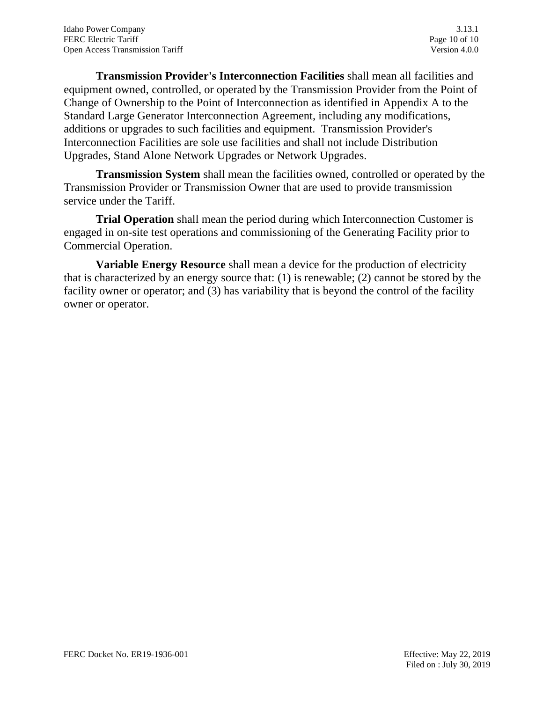**Transmission Provider's Interconnection Facilities** shall mean all facilities and equipment owned, controlled, or operated by the Transmission Provider from the Point of Change of Ownership to the Point of Interconnection as identified in Appendix A to the Standard Large Generator Interconnection Agreement, including any modifications, additions or upgrades to such facilities and equipment. Transmission Provider's Interconnection Facilities are sole use facilities and shall not include Distribution Upgrades, Stand Alone Network Upgrades or Network Upgrades.

**Transmission System** shall mean the facilities owned, controlled or operated by the Transmission Provider or Transmission Owner that are used to provide transmission service under the Tariff.

**Trial Operation** shall mean the period during which Interconnection Customer is engaged in on-site test operations and commissioning of the Generating Facility prior to Commercial Operation.

**Variable Energy Resource** shall mean a device for the production of electricity that is characterized by an energy source that: (1) is renewable; (2) cannot be stored by the facility owner or operator; and (3) has variability that is beyond the control of the facility owner or operator.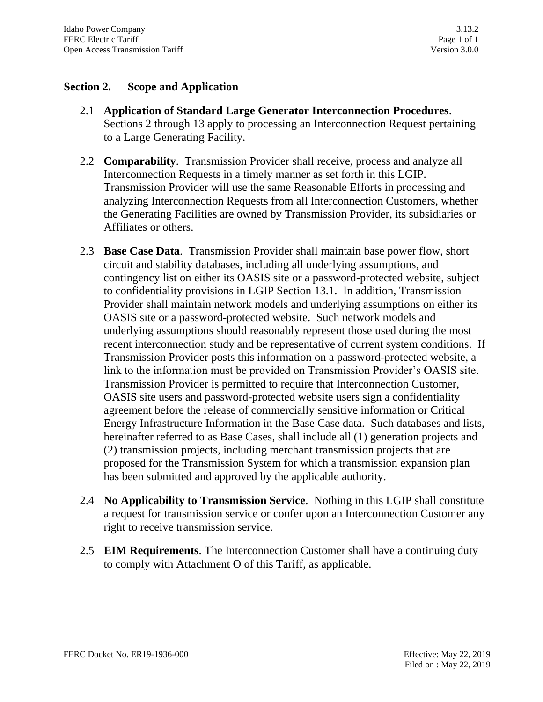# **Section 2. Scope and Application**

- 2.1 **Application of Standard Large Generator Interconnection Procedures**. Sections 2 through 13 apply to processing an Interconnection Request pertaining to a Large Generating Facility.
- 2.2 **Comparability**. Transmission Provider shall receive, process and analyze all Interconnection Requests in a timely manner as set forth in this LGIP. Transmission Provider will use the same Reasonable Efforts in processing and analyzing Interconnection Requests from all Interconnection Customers, whether the Generating Facilities are owned by Transmission Provider, its subsidiaries or Affiliates or others.
- 2.3 **Base Case Data**. Transmission Provider shall maintain base power flow, short circuit and stability databases, including all underlying assumptions, and contingency list on either its OASIS site or a password-protected website, subject to confidentiality provisions in LGIP Section 13.1. In addition, Transmission Provider shall maintain network models and underlying assumptions on either its OASIS site or a password-protected website. Such network models and underlying assumptions should reasonably represent those used during the most recent interconnection study and be representative of current system conditions. If Transmission Provider posts this information on a password-protected website, a link to the information must be provided on Transmission Provider's OASIS site. Transmission Provider is permitted to require that Interconnection Customer, OASIS site users and password-protected website users sign a confidentiality agreement before the release of commercially sensitive information or Critical Energy Infrastructure Information in the Base Case data. Such databases and lists, hereinafter referred to as Base Cases, shall include all (1) generation projects and (2) transmission projects, including merchant transmission projects that are proposed for the Transmission System for which a transmission expansion plan has been submitted and approved by the applicable authority.
- 2.4 **No Applicability to Transmission Service**. Nothing in this LGIP shall constitute a request for transmission service or confer upon an Interconnection Customer any right to receive transmission service.
- 2.5 **EIM Requirements**. The Interconnection Customer shall have a continuing duty to comply with Attachment O of this Tariff, as applicable.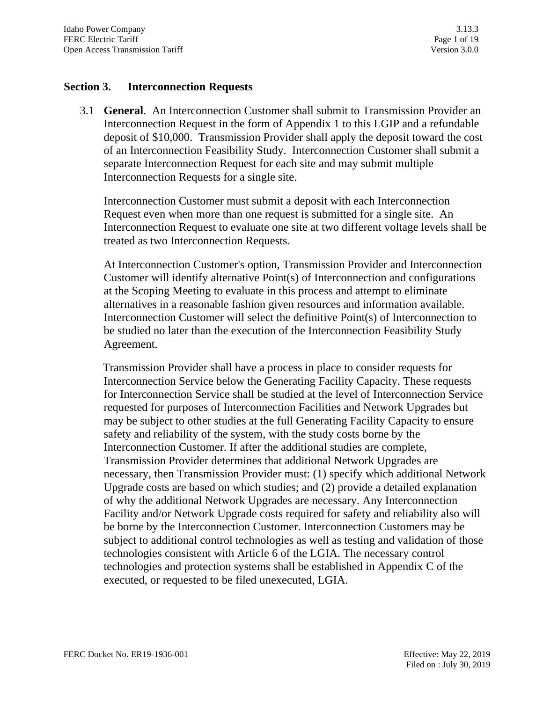### **Section 3. Interconnection Requests**

3.1 **General**. An Interconnection Customer shall submit to Transmission Provider an Interconnection Request in the form of Appendix 1 to this LGIP and a refundable deposit of \$10,000. Transmission Provider shall apply the deposit toward the cost of an Interconnection Feasibility Study. Interconnection Customer shall submit a separate Interconnection Request for each site and may submit multiple Interconnection Requests for a single site.

Interconnection Customer must submit a deposit with each Interconnection Request even when more than one request is submitted for a single site. An Interconnection Request to evaluate one site at two different voltage levels shall be treated as two Interconnection Requests.

At Interconnection Customer's option, Transmission Provider and Interconnection Customer will identify alternative Point(s) of Interconnection and configurations at the Scoping Meeting to evaluate in this process and attempt to eliminate alternatives in a reasonable fashion given resources and information available. Interconnection Customer will select the definitive Point(s) of Interconnection to be studied no later than the execution of the Interconnection Feasibility Study Agreement.

 Transmission Provider shall have a process in place to consider requests for Interconnection Service below the Generating Facility Capacity. These requests for Interconnection Service shall be studied at the level of Interconnection Service requested for purposes of Interconnection Facilities and Network Upgrades but may be subject to other studies at the full Generating Facility Capacity to ensure safety and reliability of the system, with the study costs borne by the Interconnection Customer. If after the additional studies are complete, Transmission Provider determines that additional Network Upgrades are necessary, then Transmission Provider must: (1) specify which additional Network Upgrade costs are based on which studies; and (2) provide a detailed explanation of why the additional Network Upgrades are necessary. Any Interconnection Facility and/or Network Upgrade costs required for safety and reliability also will be borne by the Interconnection Customer. Interconnection Customers may be subject to additional control technologies as well as testing and validation of those technologies consistent with Article 6 of the LGIA. The necessary control technologies and protection systems shall be established in Appendix C of the executed, or requested to be filed unexecuted, LGIA.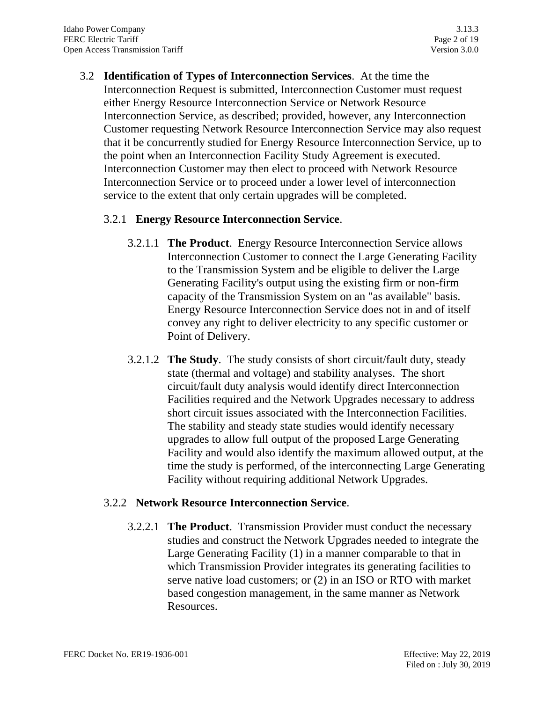3.2 **Identification of Types of Interconnection Services**. At the time the Interconnection Request is submitted, Interconnection Customer must request either Energy Resource Interconnection Service or Network Resource Interconnection Service, as described; provided, however, any Interconnection Customer requesting Network Resource Interconnection Service may also request that it be concurrently studied for Energy Resource Interconnection Service, up to the point when an Interconnection Facility Study Agreement is executed. Interconnection Customer may then elect to proceed with Network Resource Interconnection Service or to proceed under a lower level of interconnection service to the extent that only certain upgrades will be completed.

# 3.2.1 **Energy Resource Interconnection Service**.

- 3.2.1.1 **The Product**. Energy Resource Interconnection Service allows Interconnection Customer to connect the Large Generating Facility to the Transmission System and be eligible to deliver the Large Generating Facility's output using the existing firm or non-firm capacity of the Transmission System on an "as available" basis. Energy Resource Interconnection Service does not in and of itself convey any right to deliver electricity to any specific customer or Point of Delivery.
- 3.2.1.2 **The Study**. The study consists of short circuit/fault duty, steady state (thermal and voltage) and stability analyses. The short circuit/fault duty analysis would identify direct Interconnection Facilities required and the Network Upgrades necessary to address short circuit issues associated with the Interconnection Facilities. The stability and steady state studies would identify necessary upgrades to allow full output of the proposed Large Generating Facility and would also identify the maximum allowed output, at the time the study is performed, of the interconnecting Large Generating Facility without requiring additional Network Upgrades.

#### 3.2.2 **Network Resource Interconnection Service**.

3.2.2.1 **The Product**. Transmission Provider must conduct the necessary studies and construct the Network Upgrades needed to integrate the Large Generating Facility (1) in a manner comparable to that in which Transmission Provider integrates its generating facilities to serve native load customers; or (2) in an ISO or RTO with market based congestion management, in the same manner as Network Resources.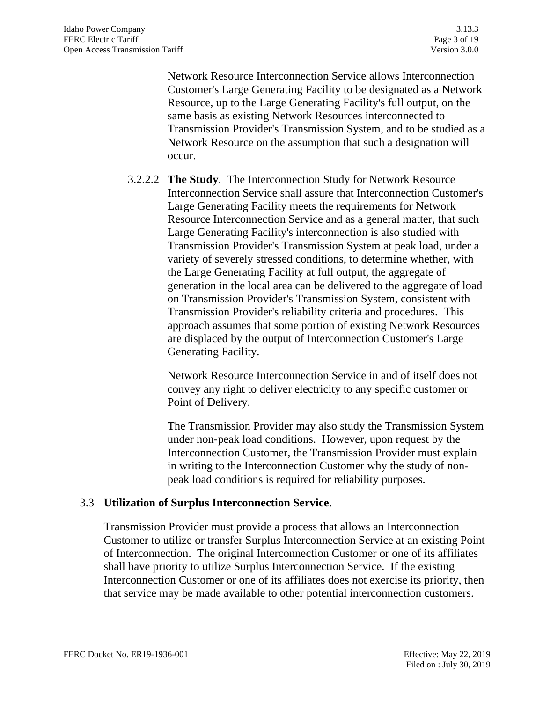Network Resource Interconnection Service allows Interconnection Customer's Large Generating Facility to be designated as a Network Resource, up to the Large Generating Facility's full output, on the same basis as existing Network Resources interconnected to Transmission Provider's Transmission System, and to be studied as a Network Resource on the assumption that such a designation will occur.

3.2.2.2 **The Study**. The Interconnection Study for Network Resource Interconnection Service shall assure that Interconnection Customer's Large Generating Facility meets the requirements for Network Resource Interconnection Service and as a general matter, that such Large Generating Facility's interconnection is also studied with Transmission Provider's Transmission System at peak load, under a variety of severely stressed conditions, to determine whether, with the Large Generating Facility at full output, the aggregate of generation in the local area can be delivered to the aggregate of load on Transmission Provider's Transmission System, consistent with Transmission Provider's reliability criteria and procedures. This approach assumes that some portion of existing Network Resources are displaced by the output of Interconnection Customer's Large Generating Facility.

> Network Resource Interconnection Service in and of itself does not convey any right to deliver electricity to any specific customer or Point of Delivery.

The Transmission Provider may also study the Transmission System under non-peak load conditions. However, upon request by the Interconnection Customer, the Transmission Provider must explain in writing to the Interconnection Customer why the study of nonpeak load conditions is required for reliability purposes.

#### 3.3 **Utilization of Surplus Interconnection Service**.

Transmission Provider must provide a process that allows an Interconnection Customer to utilize or transfer Surplus Interconnection Service at an existing Point of Interconnection. The original Interconnection Customer or one of its affiliates shall have priority to utilize Surplus Interconnection Service. If the existing Interconnection Customer or one of its affiliates does not exercise its priority, then that service may be made available to other potential interconnection customers.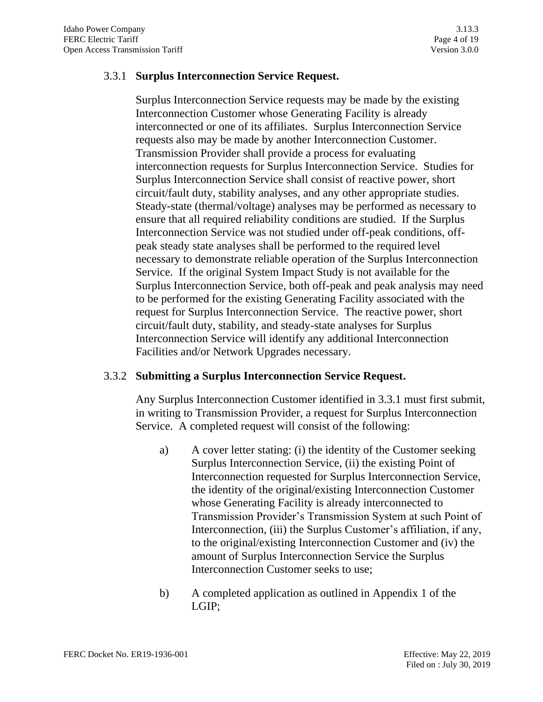### 3.3.1 **Surplus Interconnection Service Request.**

Surplus Interconnection Service requests may be made by the existing Interconnection Customer whose Generating Facility is already interconnected or one of its affiliates. Surplus Interconnection Service requests also may be made by another Interconnection Customer. Transmission Provider shall provide a process for evaluating interconnection requests for Surplus Interconnection Service. Studies for Surplus Interconnection Service shall consist of reactive power, short circuit/fault duty, stability analyses, and any other appropriate studies. Steady-state (thermal/voltage) analyses may be performed as necessary to ensure that all required reliability conditions are studied. If the Surplus Interconnection Service was not studied under off-peak conditions, offpeak steady state analyses shall be performed to the required level necessary to demonstrate reliable operation of the Surplus Interconnection Service. If the original System Impact Study is not available for the Surplus Interconnection Service, both off-peak and peak analysis may need to be performed for the existing Generating Facility associated with the request for Surplus Interconnection Service. The reactive power, short circuit/fault duty, stability, and steady-state analyses for Surplus Interconnection Service will identify any additional Interconnection Facilities and/or Network Upgrades necessary.

#### 3.3.2 **Submitting a Surplus Interconnection Service Request.**

Any Surplus Interconnection Customer identified in 3.3.1 must first submit, in writing to Transmission Provider, a request for Surplus Interconnection Service. A completed request will consist of the following:

- a) A cover letter stating: (i) the identity of the Customer seeking Surplus Interconnection Service, (ii) the existing Point of Interconnection requested for Surplus Interconnection Service, the identity of the original/existing Interconnection Customer whose Generating Facility is already interconnected to Transmission Provider's Transmission System at such Point of Interconnection, (iii) the Surplus Customer's affiliation, if any, to the original/existing Interconnection Customer and (iv) the amount of Surplus Interconnection Service the Surplus Interconnection Customer seeks to use;
- b) A completed application as outlined in Appendix 1 of the LGIP;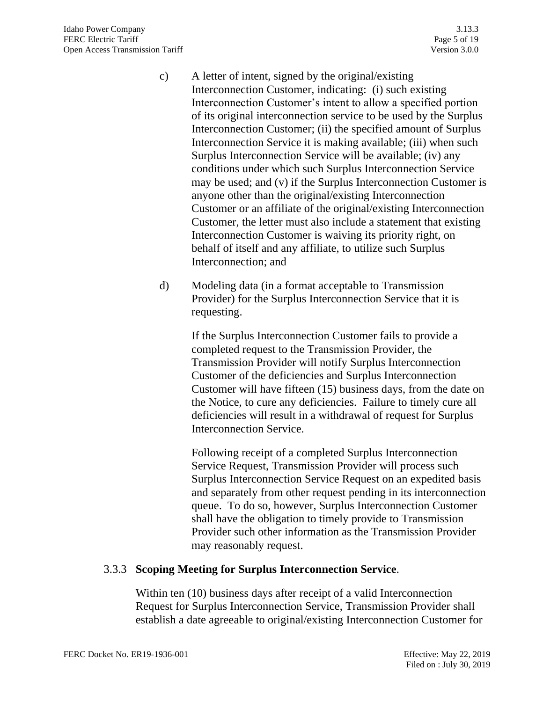- c) A letter of intent, signed by the original/existing Interconnection Customer, indicating: (i) such existing Interconnection Customer's intent to allow a specified portion of its original interconnection service to be used by the Surplus Interconnection Customer; (ii) the specified amount of Surplus Interconnection Service it is making available; (iii) when such Surplus Interconnection Service will be available; (iv) any conditions under which such Surplus Interconnection Service may be used; and (v) if the Surplus Interconnection Customer is anyone other than the original/existing Interconnection Customer or an affiliate of the original/existing Interconnection Customer, the letter must also include a statement that existing Interconnection Customer is waiving its priority right, on behalf of itself and any affiliate, to utilize such Surplus Interconnection; and
- d) Modeling data (in a format acceptable to Transmission Provider) for the Surplus Interconnection Service that it is requesting.

If the Surplus Interconnection Customer fails to provide a completed request to the Transmission Provider, the Transmission Provider will notify Surplus Interconnection Customer of the deficiencies and Surplus Interconnection Customer will have fifteen (15) business days, from the date on the Notice, to cure any deficiencies. Failure to timely cure all deficiencies will result in a withdrawal of request for Surplus Interconnection Service.

Following receipt of a completed Surplus Interconnection Service Request, Transmission Provider will process such Surplus Interconnection Service Request on an expedited basis and separately from other request pending in its interconnection queue. To do so, however, Surplus Interconnection Customer shall have the obligation to timely provide to Transmission Provider such other information as the Transmission Provider may reasonably request.

# 3.3.3 **Scoping Meeting for Surplus Interconnection Service**.

Within ten (10) business days after receipt of a valid Interconnection Request for Surplus Interconnection Service, Transmission Provider shall establish a date agreeable to original/existing Interconnection Customer for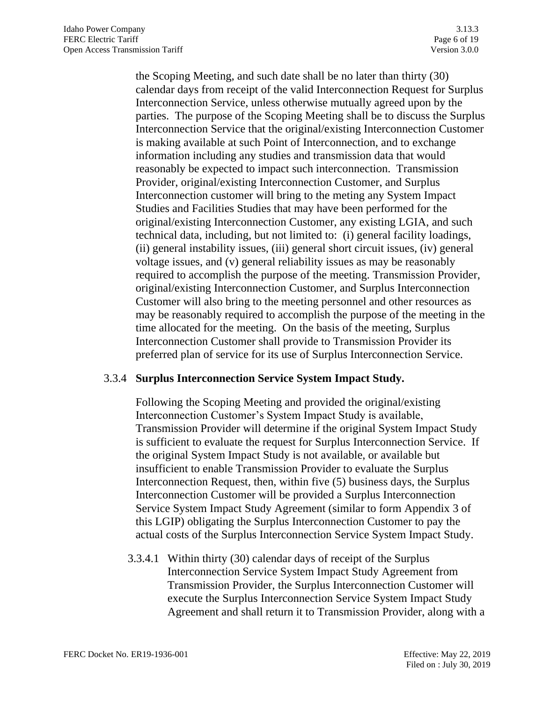the Scoping Meeting, and such date shall be no later than thirty (30) calendar days from receipt of the valid Interconnection Request for Surplus Interconnection Service, unless otherwise mutually agreed upon by the parties. The purpose of the Scoping Meeting shall be to discuss the Surplus Interconnection Service that the original/existing Interconnection Customer is making available at such Point of Interconnection, and to exchange information including any studies and transmission data that would reasonably be expected to impact such interconnection. Transmission Provider, original/existing Interconnection Customer, and Surplus Interconnection customer will bring to the meting any System Impact Studies and Facilities Studies that may have been performed for the original/existing Interconnection Customer, any existing LGIA, and such technical data, including, but not limited to: (i) general facility loadings, (ii) general instability issues, (iii) general short circuit issues, (iv) general voltage issues, and (v) general reliability issues as may be reasonably required to accomplish the purpose of the meeting. Transmission Provider, original/existing Interconnection Customer, and Surplus Interconnection Customer will also bring to the meeting personnel and other resources as may be reasonably required to accomplish the purpose of the meeting in the time allocated for the meeting. On the basis of the meeting, Surplus Interconnection Customer shall provide to Transmission Provider its preferred plan of service for its use of Surplus Interconnection Service.

#### 3.3.4 **Surplus Interconnection Service System Impact Study.**

Following the Scoping Meeting and provided the original/existing Interconnection Customer's System Impact Study is available, Transmission Provider will determine if the original System Impact Study is sufficient to evaluate the request for Surplus Interconnection Service. If the original System Impact Study is not available, or available but insufficient to enable Transmission Provider to evaluate the Surplus Interconnection Request, then, within five (5) business days, the Surplus Interconnection Customer will be provided a Surplus Interconnection Service System Impact Study Agreement (similar to form Appendix 3 of this LGIP) obligating the Surplus Interconnection Customer to pay the actual costs of the Surplus Interconnection Service System Impact Study.

3.3.4.1 Within thirty (30) calendar days of receipt of the Surplus Interconnection Service System Impact Study Agreement from Transmission Provider, the Surplus Interconnection Customer will execute the Surplus Interconnection Service System Impact Study Agreement and shall return it to Transmission Provider, along with a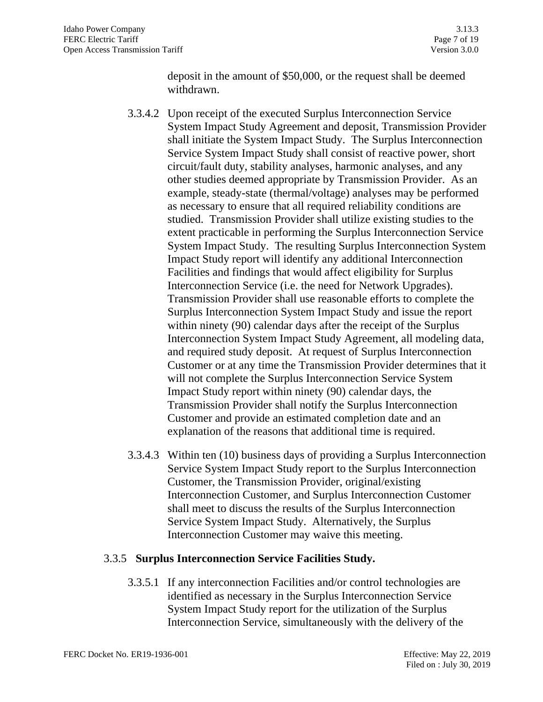deposit in the amount of \$50,000, or the request shall be deemed withdrawn.

- 3.3.4.2 Upon receipt of the executed Surplus Interconnection Service System Impact Study Agreement and deposit, Transmission Provider shall initiate the System Impact Study. The Surplus Interconnection Service System Impact Study shall consist of reactive power, short circuit/fault duty, stability analyses, harmonic analyses, and any other studies deemed appropriate by Transmission Provider. As an example, steady-state (thermal/voltage) analyses may be performed as necessary to ensure that all required reliability conditions are studied. Transmission Provider shall utilize existing studies to the extent practicable in performing the Surplus Interconnection Service System Impact Study. The resulting Surplus Interconnection System Impact Study report will identify any additional Interconnection Facilities and findings that would affect eligibility for Surplus Interconnection Service (i.e. the need for Network Upgrades). Transmission Provider shall use reasonable efforts to complete the Surplus Interconnection System Impact Study and issue the report within ninety (90) calendar days after the receipt of the Surplus Interconnection System Impact Study Agreement, all modeling data, and required study deposit. At request of Surplus Interconnection Customer or at any time the Transmission Provider determines that it will not complete the Surplus Interconnection Service System Impact Study report within ninety (90) calendar days, the Transmission Provider shall notify the Surplus Interconnection Customer and provide an estimated completion date and an explanation of the reasons that additional time is required.
- 3.3.4.3 Within ten (10) business days of providing a Surplus Interconnection Service System Impact Study report to the Surplus Interconnection Customer, the Transmission Provider, original/existing Interconnection Customer, and Surplus Interconnection Customer shall meet to discuss the results of the Surplus Interconnection Service System Impact Study. Alternatively, the Surplus Interconnection Customer may waive this meeting.

# 3.3.5 **Surplus Interconnection Service Facilities Study.**

3.3.5.1 If any interconnection Facilities and/or control technologies are identified as necessary in the Surplus Interconnection Service System Impact Study report for the utilization of the Surplus Interconnection Service, simultaneously with the delivery of the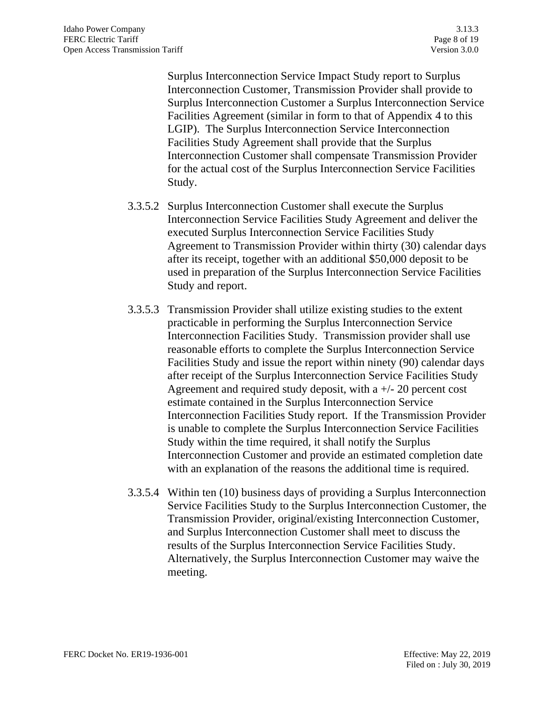Surplus Interconnection Service Impact Study report to Surplus Interconnection Customer, Transmission Provider shall provide to Surplus Interconnection Customer a Surplus Interconnection Service Facilities Agreement (similar in form to that of Appendix 4 to this LGIP). The Surplus Interconnection Service Interconnection Facilities Study Agreement shall provide that the Surplus Interconnection Customer shall compensate Transmission Provider for the actual cost of the Surplus Interconnection Service Facilities Study.

- 3.3.5.2 Surplus Interconnection Customer shall execute the Surplus Interconnection Service Facilities Study Agreement and deliver the executed Surplus Interconnection Service Facilities Study Agreement to Transmission Provider within thirty (30) calendar days after its receipt, together with an additional \$50,000 deposit to be used in preparation of the Surplus Interconnection Service Facilities Study and report.
- 3.3.5.3 Transmission Provider shall utilize existing studies to the extent practicable in performing the Surplus Interconnection Service Interconnection Facilities Study. Transmission provider shall use reasonable efforts to complete the Surplus Interconnection Service Facilities Study and issue the report within ninety (90) calendar days after receipt of the Surplus Interconnection Service Facilities Study Agreement and required study deposit, with a  $+/- 20$  percent cost estimate contained in the Surplus Interconnection Service Interconnection Facilities Study report. If the Transmission Provider is unable to complete the Surplus Interconnection Service Facilities Study within the time required, it shall notify the Surplus Interconnection Customer and provide an estimated completion date with an explanation of the reasons the additional time is required.
- 3.3.5.4 Within ten (10) business days of providing a Surplus Interconnection Service Facilities Study to the Surplus Interconnection Customer, the Transmission Provider, original/existing Interconnection Customer, and Surplus Interconnection Customer shall meet to discuss the results of the Surplus Interconnection Service Facilities Study. Alternatively, the Surplus Interconnection Customer may waive the meeting.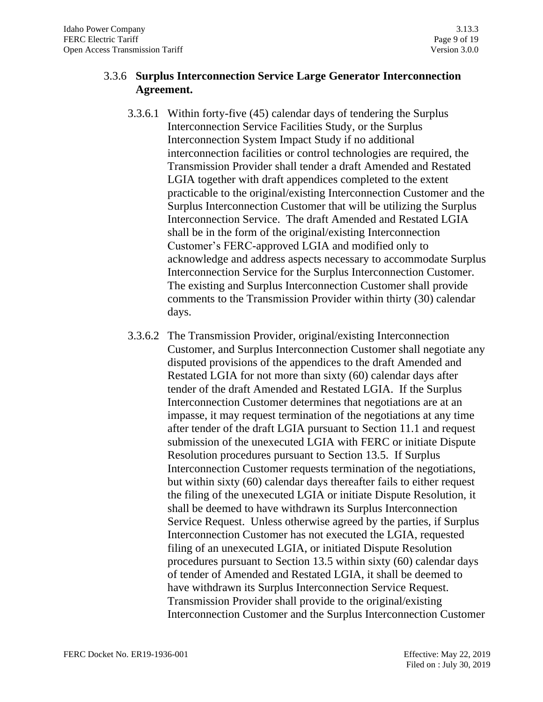# 3.3.6 **Surplus Interconnection Service Large Generator Interconnection Agreement.**

- 3.3.6.1 Within forty-five (45) calendar days of tendering the Surplus Interconnection Service Facilities Study, or the Surplus Interconnection System Impact Study if no additional interconnection facilities or control technologies are required, the Transmission Provider shall tender a draft Amended and Restated LGIA together with draft appendices completed to the extent practicable to the original/existing Interconnection Customer and the Surplus Interconnection Customer that will be utilizing the Surplus Interconnection Service. The draft Amended and Restated LGIA shall be in the form of the original/existing Interconnection Customer's FERC-approved LGIA and modified only to acknowledge and address aspects necessary to accommodate Surplus Interconnection Service for the Surplus Interconnection Customer. The existing and Surplus Interconnection Customer shall provide comments to the Transmission Provider within thirty (30) calendar days.
- 3.3.6.2 The Transmission Provider, original/existing Interconnection Customer, and Surplus Interconnection Customer shall negotiate any disputed provisions of the appendices to the draft Amended and Restated LGIA for not more than sixty (60) calendar days after tender of the draft Amended and Restated LGIA. If the Surplus Interconnection Customer determines that negotiations are at an impasse, it may request termination of the negotiations at any time after tender of the draft LGIA pursuant to Section 11.1 and request submission of the unexecuted LGIA with FERC or initiate Dispute Resolution procedures pursuant to Section 13.5. If Surplus Interconnection Customer requests termination of the negotiations, but within sixty (60) calendar days thereafter fails to either request the filing of the unexecuted LGIA or initiate Dispute Resolution, it shall be deemed to have withdrawn its Surplus Interconnection Service Request. Unless otherwise agreed by the parties, if Surplus Interconnection Customer has not executed the LGIA, requested filing of an unexecuted LGIA, or initiated Dispute Resolution procedures pursuant to Section 13.5 within sixty (60) calendar days of tender of Amended and Restated LGIA, it shall be deemed to have withdrawn its Surplus Interconnection Service Request. Transmission Provider shall provide to the original/existing Interconnection Customer and the Surplus Interconnection Customer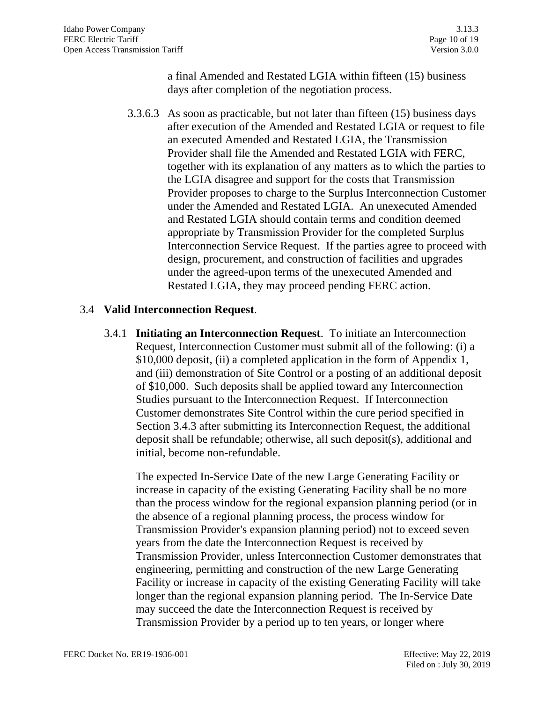a final Amended and Restated LGIA within fifteen (15) business days after completion of the negotiation process.

3.3.6.3 As soon as practicable, but not later than fifteen (15) business days after execution of the Amended and Restated LGIA or request to file an executed Amended and Restated LGIA, the Transmission Provider shall file the Amended and Restated LGIA with FERC, together with its explanation of any matters as to which the parties to the LGIA disagree and support for the costs that Transmission Provider proposes to charge to the Surplus Interconnection Customer under the Amended and Restated LGIA. An unexecuted Amended and Restated LGIA should contain terms and condition deemed appropriate by Transmission Provider for the completed Surplus Interconnection Service Request. If the parties agree to proceed with design, procurement, and construction of facilities and upgrades under the agreed-upon terms of the unexecuted Amended and Restated LGIA, they may proceed pending FERC action.

#### 3.4 **Valid Interconnection Request**.

3.4.1 **Initiating an Interconnection Request**. To initiate an Interconnection Request, Interconnection Customer must submit all of the following: (i) a \$10,000 deposit, (ii) a completed application in the form of Appendix 1, and (iii) demonstration of Site Control or a posting of an additional deposit of \$10,000. Such deposits shall be applied toward any Interconnection Studies pursuant to the Interconnection Request. If Interconnection Customer demonstrates Site Control within the cure period specified in Section 3.4.3 after submitting its Interconnection Request, the additional deposit shall be refundable; otherwise, all such deposit(s), additional and initial, become non-refundable.

The expected In-Service Date of the new Large Generating Facility or increase in capacity of the existing Generating Facility shall be no more than the process window for the regional expansion planning period (or in the absence of a regional planning process, the process window for Transmission Provider's expansion planning period) not to exceed seven years from the date the Interconnection Request is received by Transmission Provider, unless Interconnection Customer demonstrates that engineering, permitting and construction of the new Large Generating Facility or increase in capacity of the existing Generating Facility will take longer than the regional expansion planning period. The In-Service Date may succeed the date the Interconnection Request is received by Transmission Provider by a period up to ten years, or longer where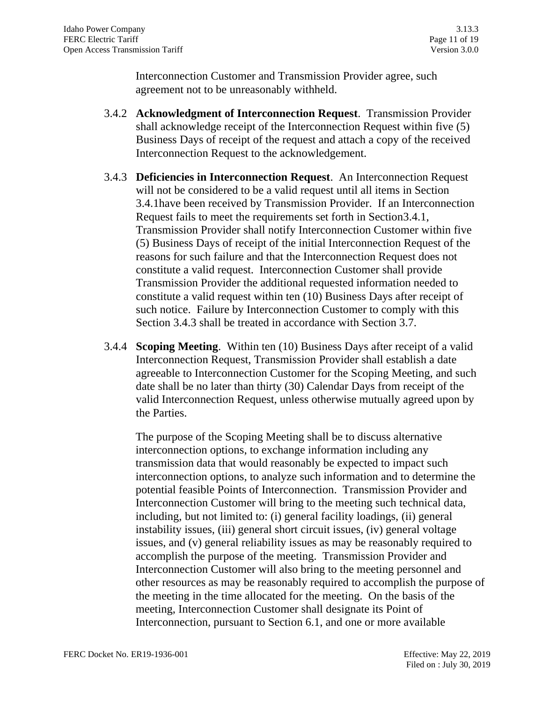Interconnection Customer and Transmission Provider agree, such agreement not to be unreasonably withheld.

- 3.4.2 **Acknowledgment of Interconnection Request**. Transmission Provider shall acknowledge receipt of the Interconnection Request within five (5) Business Days of receipt of the request and attach a copy of the received Interconnection Request to the acknowledgement.
- 3.4.3 **Deficiencies in Interconnection Request**. An Interconnection Request will not be considered to be a valid request until all items in Section 3.4.1have been received by Transmission Provider. If an Interconnection Request fails to meet the requirements set forth in Section3.4.1, Transmission Provider shall notify Interconnection Customer within five (5) Business Days of receipt of the initial Interconnection Request of the reasons for such failure and that the Interconnection Request does not constitute a valid request. Interconnection Customer shall provide Transmission Provider the additional requested information needed to constitute a valid request within ten (10) Business Days after receipt of such notice. Failure by Interconnection Customer to comply with this Section 3.4.3 shall be treated in accordance with Section 3.7.
- 3.4.4 **Scoping Meeting**. Within ten (10) Business Days after receipt of a valid Interconnection Request, Transmission Provider shall establish a date agreeable to Interconnection Customer for the Scoping Meeting, and such date shall be no later than thirty (30) Calendar Days from receipt of the valid Interconnection Request, unless otherwise mutually agreed upon by the Parties.

The purpose of the Scoping Meeting shall be to discuss alternative interconnection options, to exchange information including any transmission data that would reasonably be expected to impact such interconnection options, to analyze such information and to determine the potential feasible Points of Interconnection. Transmission Provider and Interconnection Customer will bring to the meeting such technical data, including, but not limited to: (i) general facility loadings, (ii) general instability issues, (iii) general short circuit issues, (iv) general voltage issues, and (v) general reliability issues as may be reasonably required to accomplish the purpose of the meeting. Transmission Provider and Interconnection Customer will also bring to the meeting personnel and other resources as may be reasonably required to accomplish the purpose of the meeting in the time allocated for the meeting. On the basis of the meeting, Interconnection Customer shall designate its Point of Interconnection, pursuant to Section 6.1, and one or more available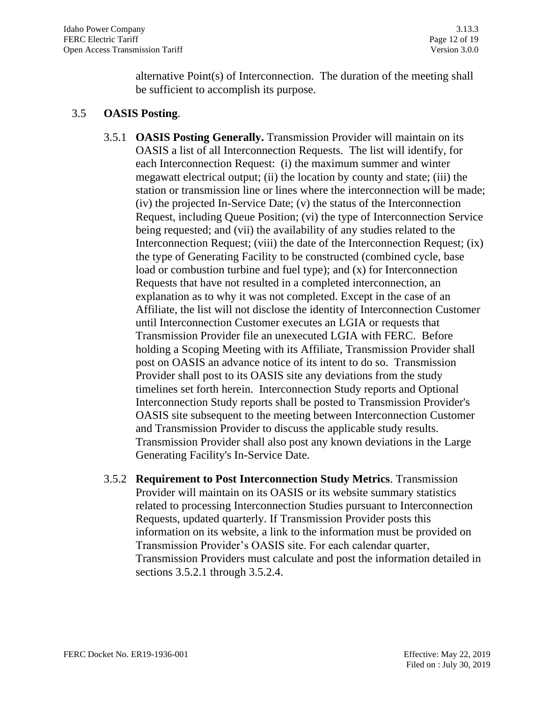alternative Point(s) of Interconnection. The duration of the meeting shall be sufficient to accomplish its purpose.

#### 3.5 **OASIS Posting**.

- 3.5.1 **OASIS Posting Generally.** Transmission Provider will maintain on its OASIS a list of all Interconnection Requests. The list will identify, for each Interconnection Request: (i) the maximum summer and winter megawatt electrical output; (ii) the location by county and state; (iii) the station or transmission line or lines where the interconnection will be made; (iv) the projected In-Service Date; (v) the status of the Interconnection Request, including Queue Position; (vi) the type of Interconnection Service being requested; and (vii) the availability of any studies related to the Interconnection Request; (viii) the date of the Interconnection Request; (ix) the type of Generating Facility to be constructed (combined cycle, base load or combustion turbine and fuel type); and (x) for Interconnection Requests that have not resulted in a completed interconnection, an explanation as to why it was not completed. Except in the case of an Affiliate, the list will not disclose the identity of Interconnection Customer until Interconnection Customer executes an LGIA or requests that Transmission Provider file an unexecuted LGIA with FERC. Before holding a Scoping Meeting with its Affiliate, Transmission Provider shall post on OASIS an advance notice of its intent to do so. Transmission Provider shall post to its OASIS site any deviations from the study timelines set forth herein. Interconnection Study reports and Optional Interconnection Study reports shall be posted to Transmission Provider's OASIS site subsequent to the meeting between Interconnection Customer and Transmission Provider to discuss the applicable study results. Transmission Provider shall also post any known deviations in the Large Generating Facility's In-Service Date.
- 3.5.2 **Requirement to Post Interconnection Study Metrics**. Transmission Provider will maintain on its OASIS or its website summary statistics related to processing Interconnection Studies pursuant to Interconnection Requests, updated quarterly. If Transmission Provider posts this information on its website, a link to the information must be provided on Transmission Provider's OASIS site. For each calendar quarter, Transmission Providers must calculate and post the information detailed in sections 3.5.2.1 through 3.5.2.4.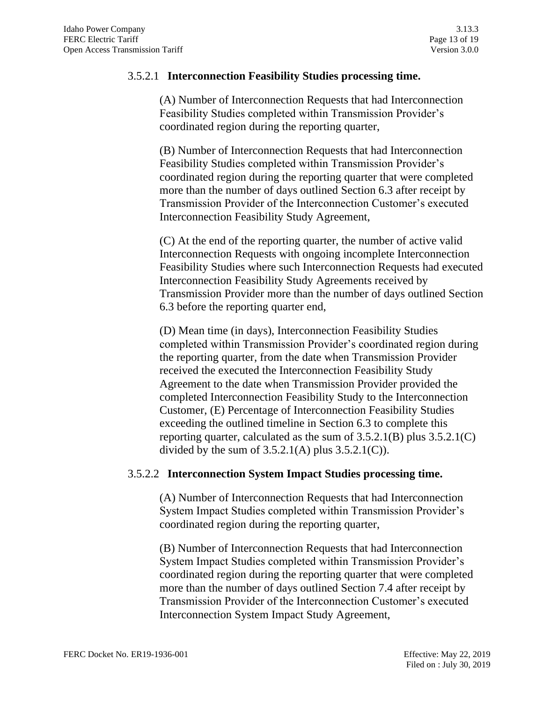#### 3.5.2.1 **Interconnection Feasibility Studies processing time.**

(A) Number of Interconnection Requests that had Interconnection Feasibility Studies completed within Transmission Provider's coordinated region during the reporting quarter,

(B) Number of Interconnection Requests that had Interconnection Feasibility Studies completed within Transmission Provider's coordinated region during the reporting quarter that were completed more than the number of days outlined Section 6.3 after receipt by Transmission Provider of the Interconnection Customer's executed Interconnection Feasibility Study Agreement,

(C) At the end of the reporting quarter, the number of active valid Interconnection Requests with ongoing incomplete Interconnection Feasibility Studies where such Interconnection Requests had executed Interconnection Feasibility Study Agreements received by Transmission Provider more than the number of days outlined Section 6.3 before the reporting quarter end,

(D) Mean time (in days), Interconnection Feasibility Studies completed within Transmission Provider's coordinated region during the reporting quarter, from the date when Transmission Provider received the executed the Interconnection Feasibility Study Agreement to the date when Transmission Provider provided the completed Interconnection Feasibility Study to the Interconnection Customer, (E) Percentage of Interconnection Feasibility Studies exceeding the outlined timeline in Section 6.3 to complete this reporting quarter, calculated as the sum of 3.5.2.1(B) plus 3.5.2.1(C) divided by the sum of  $3.5.2.1(A)$  plus  $3.5.2.1(C)$ ).

#### 3.5.2.2 **Interconnection System Impact Studies processing time.**

(A) Number of Interconnection Requests that had Interconnection System Impact Studies completed within Transmission Provider's coordinated region during the reporting quarter,

(B) Number of Interconnection Requests that had Interconnection System Impact Studies completed within Transmission Provider's coordinated region during the reporting quarter that were completed more than the number of days outlined Section 7.4 after receipt by Transmission Provider of the Interconnection Customer's executed Interconnection System Impact Study Agreement,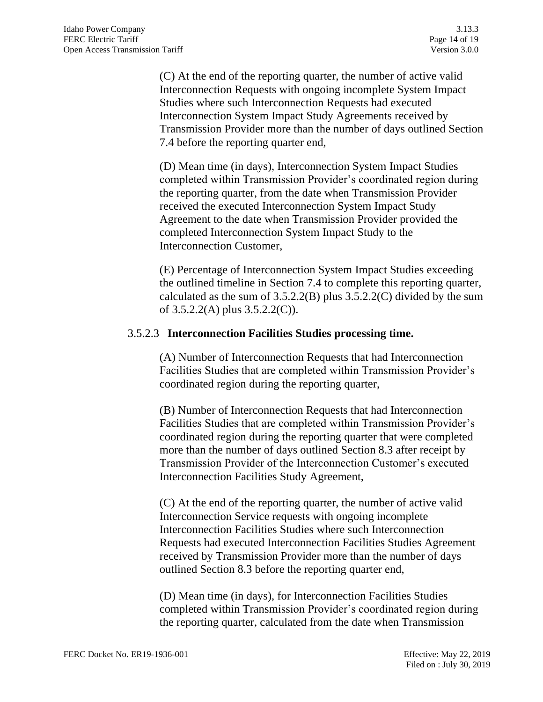(C) At the end of the reporting quarter, the number of active valid Interconnection Requests with ongoing incomplete System Impact Studies where such Interconnection Requests had executed Interconnection System Impact Study Agreements received by Transmission Provider more than the number of days outlined Section 7.4 before the reporting quarter end,

(D) Mean time (in days), Interconnection System Impact Studies completed within Transmission Provider's coordinated region during the reporting quarter, from the date when Transmission Provider received the executed Interconnection System Impact Study Agreement to the date when Transmission Provider provided the completed Interconnection System Impact Study to the Interconnection Customer,

(E) Percentage of Interconnection System Impact Studies exceeding the outlined timeline in Section 7.4 to complete this reporting quarter, calculated as the sum of  $3.5.2.2(B)$  plus  $3.5.2.2(C)$  divided by the sum of 3.5.2.2(A) plus 3.5.2.2(C)).

#### 3.5.2.3 **Interconnection Facilities Studies processing time.**

(A) Number of Interconnection Requests that had Interconnection Facilities Studies that are completed within Transmission Provider's coordinated region during the reporting quarter,

(B) Number of Interconnection Requests that had Interconnection Facilities Studies that are completed within Transmission Provider's coordinated region during the reporting quarter that were completed more than the number of days outlined Section 8.3 after receipt by Transmission Provider of the Interconnection Customer's executed Interconnection Facilities Study Agreement,

(C) At the end of the reporting quarter, the number of active valid Interconnection Service requests with ongoing incomplete Interconnection Facilities Studies where such Interconnection Requests had executed Interconnection Facilities Studies Agreement received by Transmission Provider more than the number of days outlined Section 8.3 before the reporting quarter end,

(D) Mean time (in days), for Interconnection Facilities Studies completed within Transmission Provider's coordinated region during the reporting quarter, calculated from the date when Transmission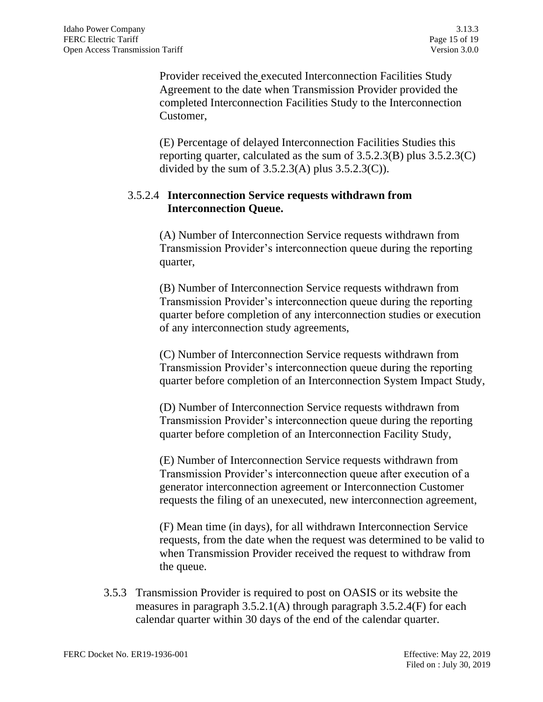Provider received the executed Interconnection Facilities Study Agreement to the date when Transmission Provider provided the completed Interconnection Facilities Study to the Interconnection Customer,

(E) Percentage of delayed Interconnection Facilities Studies this reporting quarter, calculated as the sum of 3.5.2.3(B) plus 3.5.2.3(C) divided by the sum of  $3.5.2.3(A)$  plus  $3.5.2.3(C)$ ).

# 3.5.2.4 **Interconnection Service requests withdrawn from Interconnection Queue.**

(A) Number of Interconnection Service requests withdrawn from Transmission Provider's interconnection queue during the reporting quarter,

(B) Number of Interconnection Service requests withdrawn from Transmission Provider's interconnection queue during the reporting quarter before completion of any interconnection studies or execution of any interconnection study agreements,

(C) Number of Interconnection Service requests withdrawn from Transmission Provider's interconnection queue during the reporting quarter before completion of an Interconnection System Impact Study,

(D) Number of Interconnection Service requests withdrawn from Transmission Provider's interconnection queue during the reporting quarter before completion of an Interconnection Facility Study,

(E) Number of Interconnection Service requests withdrawn from Transmission Provider's interconnection queue after execution of a generator interconnection agreement or Interconnection Customer requests the filing of an unexecuted, new interconnection agreement,

(F) Mean time (in days), for all withdrawn Interconnection Service requests, from the date when the request was determined to be valid to when Transmission Provider received the request to withdraw from the queue.

3.5.3 Transmission Provider is required to post on OASIS or its website the measures in paragraph 3.5.2.1(A) through paragraph 3.5.2.4(F) for each calendar quarter within 30 days of the end of the calendar quarter.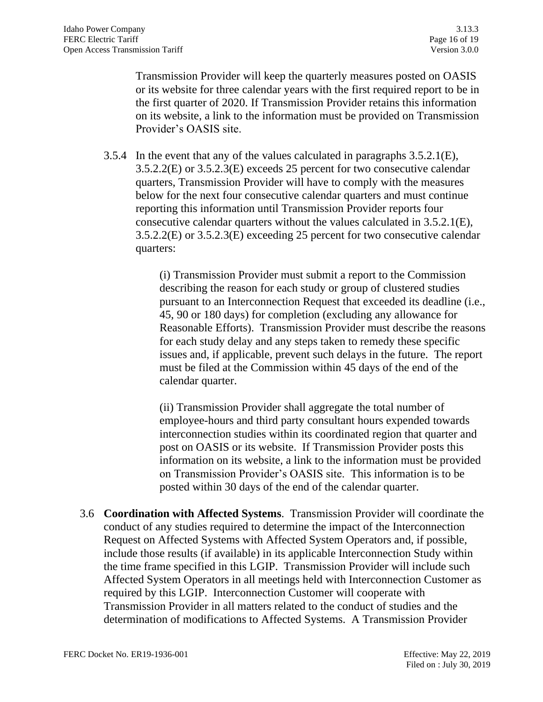Transmission Provider will keep the quarterly measures posted on OASIS or its website for three calendar years with the first required report to be in the first quarter of 2020. If Transmission Provider retains this information on its website, a link to the information must be provided on Transmission Provider's OASIS site.

3.5.4 In the event that any of the values calculated in paragraphs 3.5.2.1(E), 3.5.2.2(E) or 3.5.2.3(E) exceeds 25 percent for two consecutive calendar quarters, Transmission Provider will have to comply with the measures below for the next four consecutive calendar quarters and must continue reporting this information until Transmission Provider reports four consecutive calendar quarters without the values calculated in 3.5.2.1(E), 3.5.2.2(E) or 3.5.2.3(E) exceeding 25 percent for two consecutive calendar quarters:

> (i) Transmission Provider must submit a report to the Commission describing the reason for each study or group of clustered studies pursuant to an Interconnection Request that exceeded its deadline (i.e., 45, 90 or 180 days) for completion (excluding any allowance for Reasonable Efforts). Transmission Provider must describe the reasons for each study delay and any steps taken to remedy these specific issues and, if applicable, prevent such delays in the future. The report must be filed at the Commission within 45 days of the end of the calendar quarter.

(ii) Transmission Provider shall aggregate the total number of employee-hours and third party consultant hours expended towards interconnection studies within its coordinated region that quarter and post on OASIS or its website. If Transmission Provider posts this information on its website, a link to the information must be provided on Transmission Provider's OASIS site. This information is to be posted within 30 days of the end of the calendar quarter.

3.6 **Coordination with Affected Systems**. Transmission Provider will coordinate the conduct of any studies required to determine the impact of the Interconnection Request on Affected Systems with Affected System Operators and, if possible, include those results (if available) in its applicable Interconnection Study within the time frame specified in this LGIP. Transmission Provider will include such Affected System Operators in all meetings held with Interconnection Customer as required by this LGIP. Interconnection Customer will cooperate with Transmission Provider in all matters related to the conduct of studies and the determination of modifications to Affected Systems. A Transmission Provider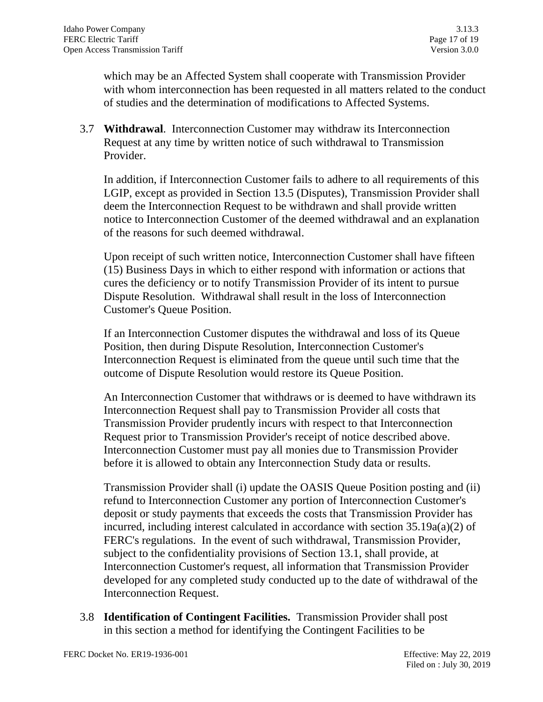which may be an Affected System shall cooperate with Transmission Provider with whom interconnection has been requested in all matters related to the conduct of studies and the determination of modifications to Affected Systems.

3.7 **Withdrawal**. Interconnection Customer may withdraw its Interconnection Request at any time by written notice of such withdrawal to Transmission Provider.

In addition, if Interconnection Customer fails to adhere to all requirements of this LGIP, except as provided in Section 13.5 (Disputes), Transmission Provider shall deem the Interconnection Request to be withdrawn and shall provide written notice to Interconnection Customer of the deemed withdrawal and an explanation of the reasons for such deemed withdrawal.

Upon receipt of such written notice, Interconnection Customer shall have fifteen (15) Business Days in which to either respond with information or actions that cures the deficiency or to notify Transmission Provider of its intent to pursue Dispute Resolution. Withdrawal shall result in the loss of Interconnection Customer's Queue Position.

If an Interconnection Customer disputes the withdrawal and loss of its Queue Position, then during Dispute Resolution, Interconnection Customer's Interconnection Request is eliminated from the queue until such time that the outcome of Dispute Resolution would restore its Queue Position.

An Interconnection Customer that withdraws or is deemed to have withdrawn its Interconnection Request shall pay to Transmission Provider all costs that Transmission Provider prudently incurs with respect to that Interconnection Request prior to Transmission Provider's receipt of notice described above. Interconnection Customer must pay all monies due to Transmission Provider before it is allowed to obtain any Interconnection Study data or results.

Transmission Provider shall (i) update the OASIS Queue Position posting and (ii) refund to Interconnection Customer any portion of Interconnection Customer's deposit or study payments that exceeds the costs that Transmission Provider has incurred, including interest calculated in accordance with section 35.19a(a)(2) of FERC's regulations. In the event of such withdrawal, Transmission Provider, subject to the confidentiality provisions of Section 13.1, shall provide, at Interconnection Customer's request, all information that Transmission Provider developed for any completed study conducted up to the date of withdrawal of the Interconnection Request.

3.8 **Identification of Contingent Facilities.** Transmission Provider shall post in this section a method for identifying the Contingent Facilities to be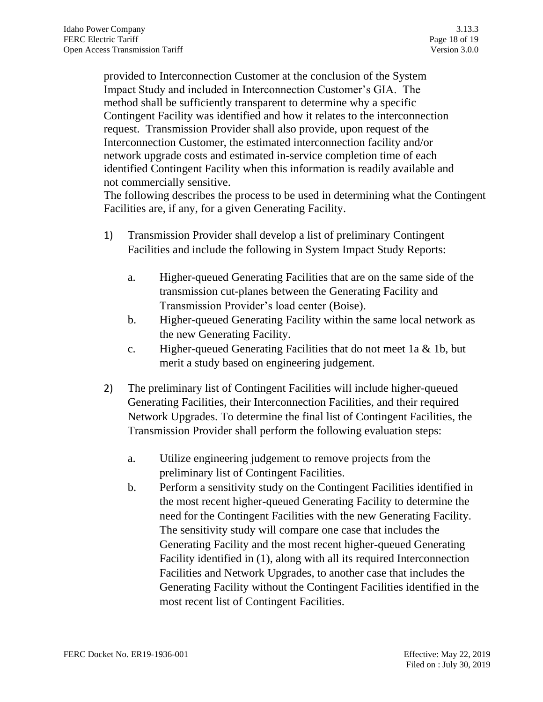provided to Interconnection Customer at the conclusion of the System Impact Study and included in Interconnection Customer's GIA. The method shall be sufficiently transparent to determine why a specific Contingent Facility was identified and how it relates to the interconnection request. Transmission Provider shall also provide, upon request of the Interconnection Customer, the estimated interconnection facility and/or network upgrade costs and estimated in-service completion time of each identified Contingent Facility when this information is readily available and not commercially sensitive.

The following describes the process to be used in determining what the Contingent Facilities are, if any, for a given Generating Facility.

- 1) Transmission Provider shall develop a list of preliminary Contingent Facilities and include the following in System Impact Study Reports:
	- a. Higher-queued Generating Facilities that are on the same side of the transmission cut-planes between the Generating Facility and Transmission Provider's load center (Boise).
	- b. Higher-queued Generating Facility within the same local network as the new Generating Facility.
	- c. Higher-queued Generating Facilities that do not meet 1a & 1b, but merit a study based on engineering judgement.
- 2) The preliminary list of Contingent Facilities will include higher-queued Generating Facilities, their Interconnection Facilities, and their required Network Upgrades. To determine the final list of Contingent Facilities, the Transmission Provider shall perform the following evaluation steps:
	- a. Utilize engineering judgement to remove projects from the preliminary list of Contingent Facilities.
	- b. Perform a sensitivity study on the Contingent Facilities identified in the most recent higher-queued Generating Facility to determine the need for the Contingent Facilities with the new Generating Facility. The sensitivity study will compare one case that includes the Generating Facility and the most recent higher-queued Generating Facility identified in (1), along with all its required Interconnection Facilities and Network Upgrades, to another case that includes the Generating Facility without the Contingent Facilities identified in the most recent list of Contingent Facilities.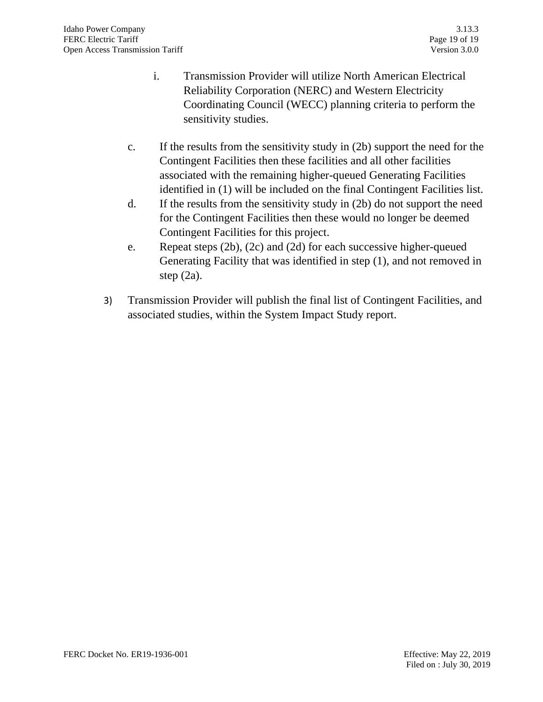- i. Transmission Provider will utilize North American Electrical Reliability Corporation (NERC) and Western Electricity Coordinating Council (WECC) planning criteria to perform the sensitivity studies.
- c. If the results from the sensitivity study in (2b) support the need for the Contingent Facilities then these facilities and all other facilities associated with the remaining higher-queued Generating Facilities identified in (1) will be included on the final Contingent Facilities list.
- d. If the results from the sensitivity study in (2b) do not support the need for the Contingent Facilities then these would no longer be deemed Contingent Facilities for this project.
- e. Repeat steps (2b), (2c) and (2d) for each successive higher-queued Generating Facility that was identified in step (1), and not removed in step (2a).
- 3) Transmission Provider will publish the final list of Contingent Facilities, and associated studies, within the System Impact Study report.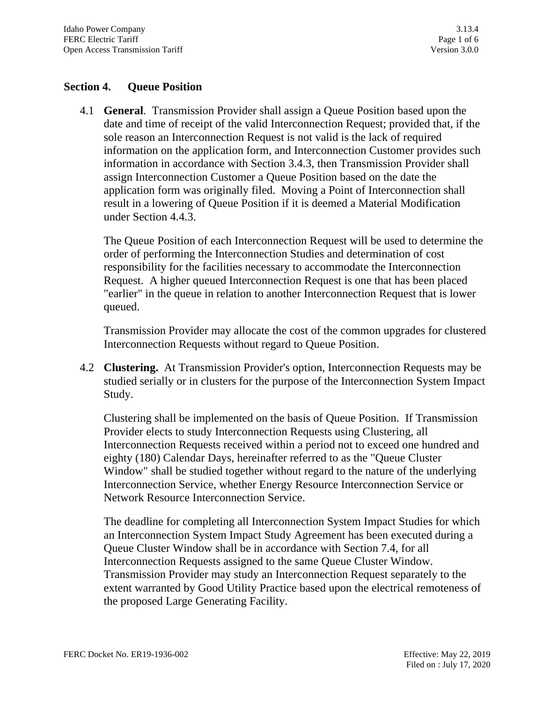# **Section 4. Queue Position**

4.1 **General**. Transmission Provider shall assign a Queue Position based upon the date and time of receipt of the valid Interconnection Request; provided that, if the sole reason an Interconnection Request is not valid is the lack of required information on the application form, and Interconnection Customer provides such information in accordance with Section 3.4.3, then Transmission Provider shall assign Interconnection Customer a Queue Position based on the date the application form was originally filed. Moving a Point of Interconnection shall result in a lowering of Queue Position if it is deemed a Material Modification under Section 4.4.3.

The Queue Position of each Interconnection Request will be used to determine the order of performing the Interconnection Studies and determination of cost responsibility for the facilities necessary to accommodate the Interconnection Request. A higher queued Interconnection Request is one that has been placed "earlier" in the queue in relation to another Interconnection Request that is lower queued.

Transmission Provider may allocate the cost of the common upgrades for clustered Interconnection Requests without regard to Queue Position.

4.2 **Clustering.** At Transmission Provider's option, Interconnection Requests may be studied serially or in clusters for the purpose of the Interconnection System Impact Study.

Clustering shall be implemented on the basis of Queue Position. If Transmission Provider elects to study Interconnection Requests using Clustering, all Interconnection Requests received within a period not to exceed one hundred and eighty (180) Calendar Days, hereinafter referred to as the "Queue Cluster Window" shall be studied together without regard to the nature of the underlying Interconnection Service, whether Energy Resource Interconnection Service or Network Resource Interconnection Service.

The deadline for completing all Interconnection System Impact Studies for which an Interconnection System Impact Study Agreement has been executed during a Queue Cluster Window shall be in accordance with Section 7.4, for all Interconnection Requests assigned to the same Queue Cluster Window. Transmission Provider may study an Interconnection Request separately to the extent warranted by Good Utility Practice based upon the electrical remoteness of the proposed Large Generating Facility.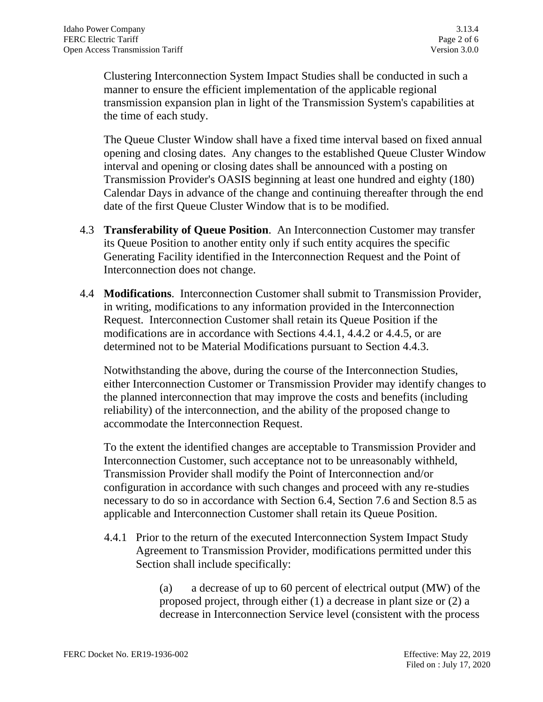Clustering Interconnection System Impact Studies shall be conducted in such a manner to ensure the efficient implementation of the applicable regional transmission expansion plan in light of the Transmission System's capabilities at the time of each study.

The Queue Cluster Window shall have a fixed time interval based on fixed annual opening and closing dates. Any changes to the established Queue Cluster Window interval and opening or closing dates shall be announced with a posting on Transmission Provider's OASIS beginning at least one hundred and eighty (180) Calendar Days in advance of the change and continuing thereafter through the end date of the first Queue Cluster Window that is to be modified.

- 4.3 **Transferability of Queue Position**. An Interconnection Customer may transfer its Queue Position to another entity only if such entity acquires the specific Generating Facility identified in the Interconnection Request and the Point of Interconnection does not change.
- 4.4 **Modifications**. Interconnection Customer shall submit to Transmission Provider, in writing, modifications to any information provided in the Interconnection Request. Interconnection Customer shall retain its Queue Position if the modifications are in accordance with Sections 4.4.1, 4.4.2 or 4.4.5, or are determined not to be Material Modifications pursuant to Section 4.4.3.

Notwithstanding the above, during the course of the Interconnection Studies, either Interconnection Customer or Transmission Provider may identify changes to the planned interconnection that may improve the costs and benefits (including reliability) of the interconnection, and the ability of the proposed change to accommodate the Interconnection Request.

To the extent the identified changes are acceptable to Transmission Provider and Interconnection Customer, such acceptance not to be unreasonably withheld, Transmission Provider shall modify the Point of Interconnection and/or configuration in accordance with such changes and proceed with any re-studies necessary to do so in accordance with Section 6.4, Section 7.6 and Section 8.5 as applicable and Interconnection Customer shall retain its Queue Position.

4.4.1 Prior to the return of the executed Interconnection System Impact Study Agreement to Transmission Provider, modifications permitted under this Section shall include specifically:

> (a) a decrease of up to 60 percent of electrical output (MW) of the proposed project, through either (1) a decrease in plant size or (2) a decrease in Interconnection Service level (consistent with the process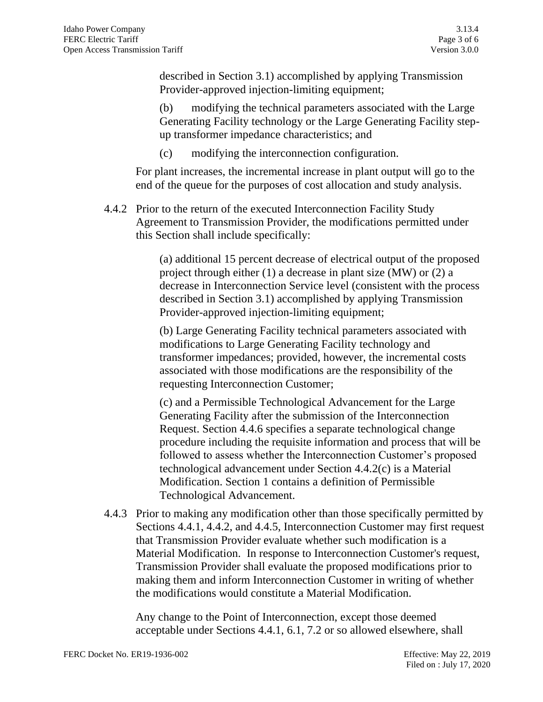described in Section 3.1) accomplished by applying Transmission Provider-approved injection-limiting equipment;

(b) modifying the technical parameters associated with the Large Generating Facility technology or the Large Generating Facility stepup transformer impedance characteristics; and

(c) modifying the interconnection configuration.

For plant increases, the incremental increase in plant output will go to the end of the queue for the purposes of cost allocation and study analysis.

4.4.2 Prior to the return of the executed Interconnection Facility Study Agreement to Transmission Provider, the modifications permitted under this Section shall include specifically:

> (a) additional 15 percent decrease of electrical output of the proposed project through either (1) a decrease in plant size (MW) or (2) a decrease in Interconnection Service level (consistent with the process described in Section 3.1) accomplished by applying Transmission Provider-approved injection-limiting equipment;

(b) Large Generating Facility technical parameters associated with modifications to Large Generating Facility technology and transformer impedances; provided, however, the incremental costs associated with those modifications are the responsibility of the requesting Interconnection Customer;

(c) and a Permissible Technological Advancement for the Large Generating Facility after the submission of the Interconnection Request. Section 4.4.6 specifies a separate technological change procedure including the requisite information and process that will be followed to assess whether the Interconnection Customer's proposed technological advancement under Section 4.4.2(c) is a Material Modification. Section 1 contains a definition of Permissible Technological Advancement.

4.4.3 Prior to making any modification other than those specifically permitted by Sections 4.4.1, 4.4.2, and 4.4.5, Interconnection Customer may first request that Transmission Provider evaluate whether such modification is a Material Modification. In response to Interconnection Customer's request, Transmission Provider shall evaluate the proposed modifications prior to making them and inform Interconnection Customer in writing of whether the modifications would constitute a Material Modification.

Any change to the Point of Interconnection, except those deemed acceptable under Sections 4.4.1, 6.1, 7.2 or so allowed elsewhere, shall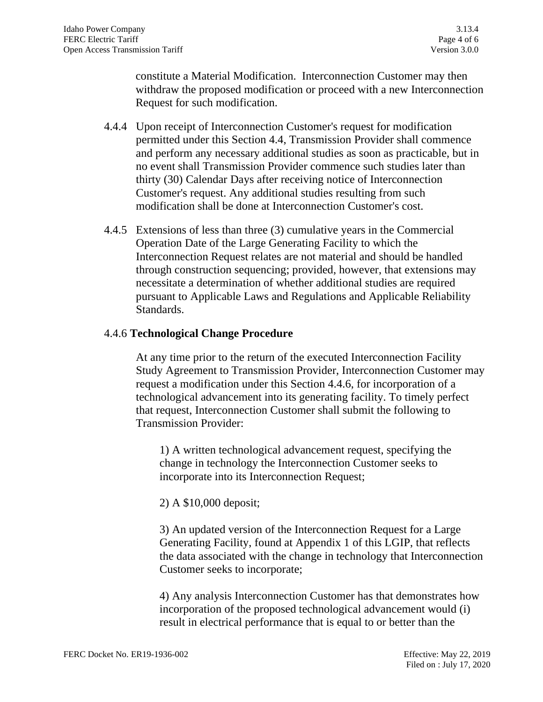constitute a Material Modification. Interconnection Customer may then withdraw the proposed modification or proceed with a new Interconnection Request for such modification.

- 4.4.4 Upon receipt of Interconnection Customer's request for modification permitted under this Section 4.4, Transmission Provider shall commence and perform any necessary additional studies as soon as practicable, but in no event shall Transmission Provider commence such studies later than thirty (30) Calendar Days after receiving notice of Interconnection Customer's request. Any additional studies resulting from such modification shall be done at Interconnection Customer's cost.
- 4.4.5 Extensions of less than three (3) cumulative years in the Commercial Operation Date of the Large Generating Facility to which the Interconnection Request relates are not material and should be handled through construction sequencing; provided, however, that extensions may necessitate a determination of whether additional studies are required pursuant to Applicable Laws and Regulations and Applicable Reliability Standards.

### 4.4.6 **Technological Change Procedure**

At any time prior to the return of the executed Interconnection Facility Study Agreement to Transmission Provider, Interconnection Customer may request a modification under this Section 4.4.6, for incorporation of a technological advancement into its generating facility. To timely perfect that request, Interconnection Customer shall submit the following to Transmission Provider:

1) A written technological advancement request, specifying the change in technology the Interconnection Customer seeks to incorporate into its Interconnection Request;

2) A \$10,000 deposit;

3) An updated version of the Interconnection Request for a Large Generating Facility, found at Appendix 1 of this LGIP, that reflects the data associated with the change in technology that Interconnection Customer seeks to incorporate;

4) Any analysis Interconnection Customer has that demonstrates how incorporation of the proposed technological advancement would (i) result in electrical performance that is equal to or better than the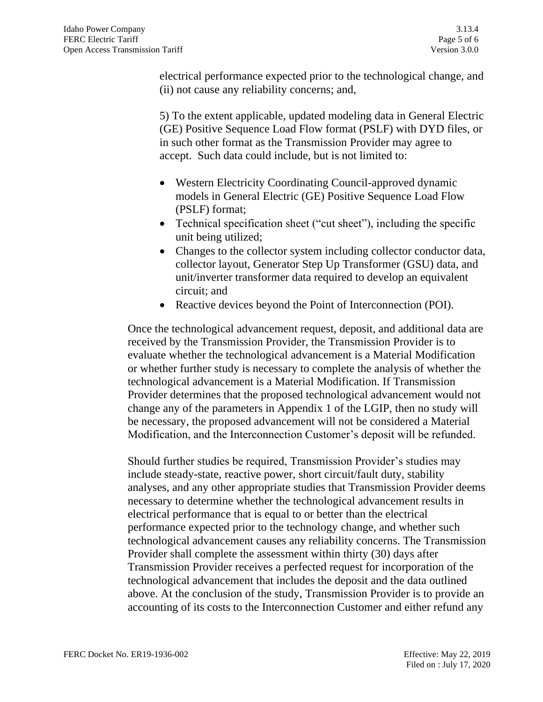electrical performance expected prior to the technological change, and (ii) not cause any reliability concerns; and,

5) To the extent applicable, updated modeling data in General Electric (GE) Positive Sequence Load Flow format (PSLF) with DYD files, or in such other format as the Transmission Provider may agree to accept. Such data could include, but is not limited to:

- Western Electricity Coordinating Council-approved dynamic models in General Electric (GE) Positive Sequence Load Flow (PSLF) format;
- Technical specification sheet ("cut sheet"), including the specific unit being utilized;
- Changes to the collector system including collector conductor data, collector layout, Generator Step Up Transformer (GSU) data, and unit/inverter transformer data required to develop an equivalent circuit; and
- Reactive devices beyond the Point of Interconnection (POI).

Once the technological advancement request, deposit, and additional data are received by the Transmission Provider, the Transmission Provider is to evaluate whether the technological advancement is a Material Modification or whether further study is necessary to complete the analysis of whether the technological advancement is a Material Modification. If Transmission Provider determines that the proposed technological advancement would not change any of the parameters in Appendix 1 of the LGIP, then no study will be necessary, the proposed advancement will not be considered a Material Modification, and the Interconnection Customer's deposit will be refunded.

Should further studies be required, Transmission Provider's studies may include steady-state, reactive power, short circuit/fault duty, stability analyses, and any other appropriate studies that Transmission Provider deems necessary to determine whether the technological advancement results in electrical performance that is equal to or better than the electrical performance expected prior to the technology change, and whether such technological advancement causes any reliability concerns. The Transmission Provider shall complete the assessment within thirty (30) days after Transmission Provider receives a perfected request for incorporation of the technological advancement that includes the deposit and the data outlined above. At the conclusion of the study, Transmission Provider is to provide an accounting of its costs to the Interconnection Customer and either refund any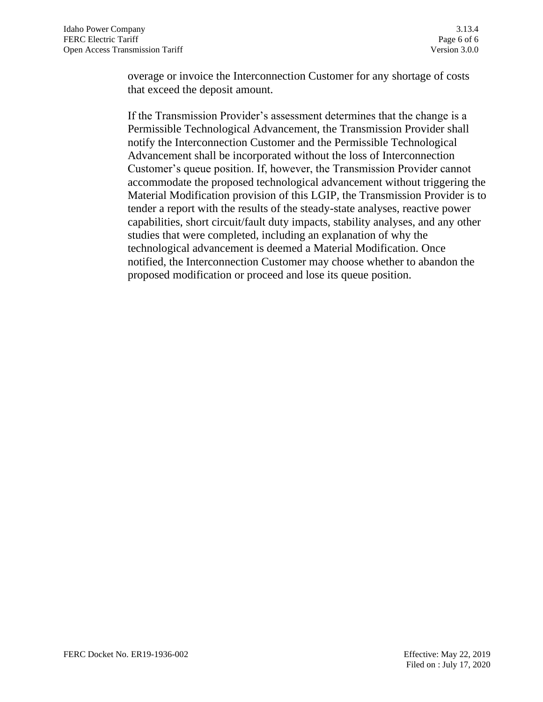overage or invoice the Interconnection Customer for any shortage of costs that exceed the deposit amount.

If the Transmission Provider's assessment determines that the change is a Permissible Technological Advancement, the Transmission Provider shall notify the Interconnection Customer and the Permissible Technological Advancement shall be incorporated without the loss of Interconnection Customer's queue position. If, however, the Transmission Provider cannot accommodate the proposed technological advancement without triggering the Material Modification provision of this LGIP, the Transmission Provider is to tender a report with the results of the steady-state analyses, reactive power capabilities, short circuit/fault duty impacts, stability analyses, and any other studies that were completed, including an explanation of why the technological advancement is deemed a Material Modification. Once notified, the Interconnection Customer may choose whether to abandon the proposed modification or proceed and lose its queue position.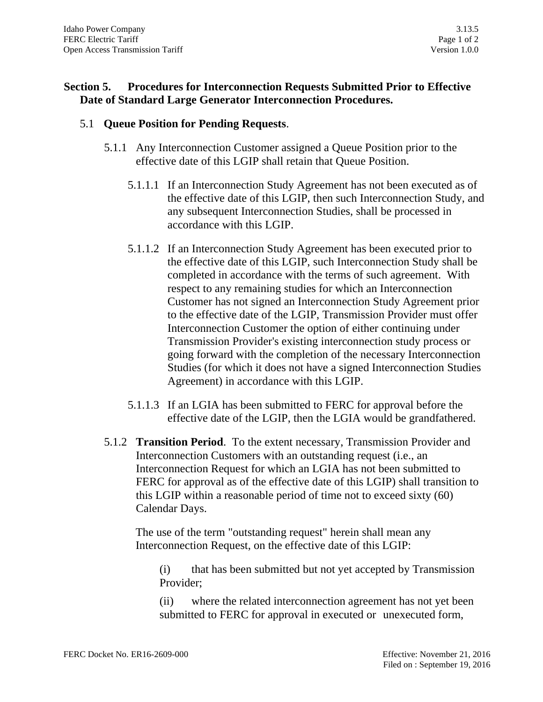# **Section 5. Procedures for Interconnection Requests Submitted Prior to Effective Date of Standard Large Generator Interconnection Procedures.**

### 5.1 **Queue Position for Pending Requests**.

- 5.1.1 Any Interconnection Customer assigned a Queue Position prior to the effective date of this LGIP shall retain that Queue Position.
	- 5.1.1.1 If an Interconnection Study Agreement has not been executed as of the effective date of this LGIP, then such Interconnection Study, and any subsequent Interconnection Studies, shall be processed in accordance with this LGIP.
	- 5.1.1.2 If an Interconnection Study Agreement has been executed prior to the effective date of this LGIP, such Interconnection Study shall be completed in accordance with the terms of such agreement. With respect to any remaining studies for which an Interconnection Customer has not signed an Interconnection Study Agreement prior to the effective date of the LGIP, Transmission Provider must offer Interconnection Customer the option of either continuing under Transmission Provider's existing interconnection study process or going forward with the completion of the necessary Interconnection Studies (for which it does not have a signed Interconnection Studies Agreement) in accordance with this LGIP.
	- 5.1.1.3 If an LGIA has been submitted to FERC for approval before the effective date of the LGIP, then the LGIA would be grandfathered.
- 5.1.2 **Transition Period**. To the extent necessary, Transmission Provider and Interconnection Customers with an outstanding request (i.e., an Interconnection Request for which an LGIA has not been submitted to FERC for approval as of the effective date of this LGIP) shall transition to this LGIP within a reasonable period of time not to exceed sixty (60) Calendar Days.

The use of the term "outstanding request" herein shall mean any Interconnection Request, on the effective date of this LGIP:

(i) that has been submitted but not yet accepted by Transmission Provider;

(ii) where the related interconnection agreement has not yet been submitted to FERC for approval in executed or unexecuted form,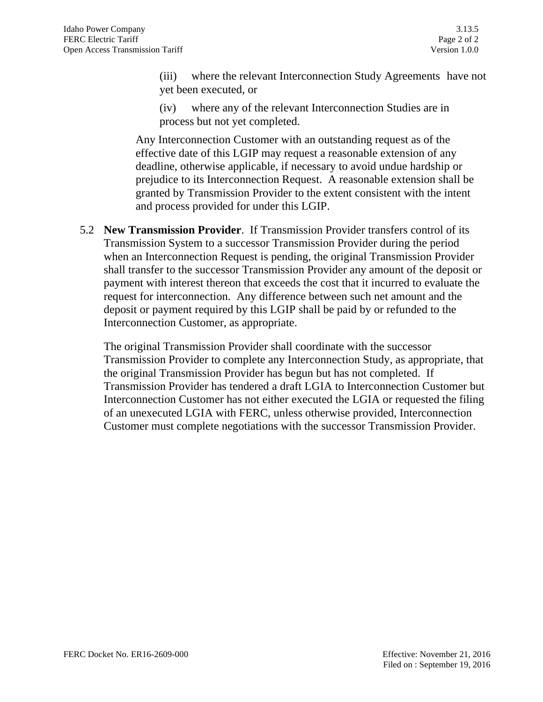(iii) where the relevant Interconnection Study Agreements have not yet been executed, or

(iv) where any of the relevant Interconnection Studies are in process but not yet completed.

Any Interconnection Customer with an outstanding request as of the effective date of this LGIP may request a reasonable extension of any deadline, otherwise applicable, if necessary to avoid undue hardship or prejudice to its Interconnection Request. A reasonable extension shall be granted by Transmission Provider to the extent consistent with the intent and process provided for under this LGIP.

5.2 **New Transmission Provider**. If Transmission Provider transfers control of its Transmission System to a successor Transmission Provider during the period when an Interconnection Request is pending, the original Transmission Provider shall transfer to the successor Transmission Provider any amount of the deposit or payment with interest thereon that exceeds the cost that it incurred to evaluate the request for interconnection. Any difference between such net amount and the deposit or payment required by this LGIP shall be paid by or refunded to the Interconnection Customer, as appropriate.

The original Transmission Provider shall coordinate with the successor Transmission Provider to complete any Interconnection Study, as appropriate, that the original Transmission Provider has begun but has not completed. If Transmission Provider has tendered a draft LGIA to Interconnection Customer but Interconnection Customer has not either executed the LGIA or requested the filing of an unexecuted LGIA with FERC, unless otherwise provided, Interconnection Customer must complete negotiations with the successor Transmission Provider.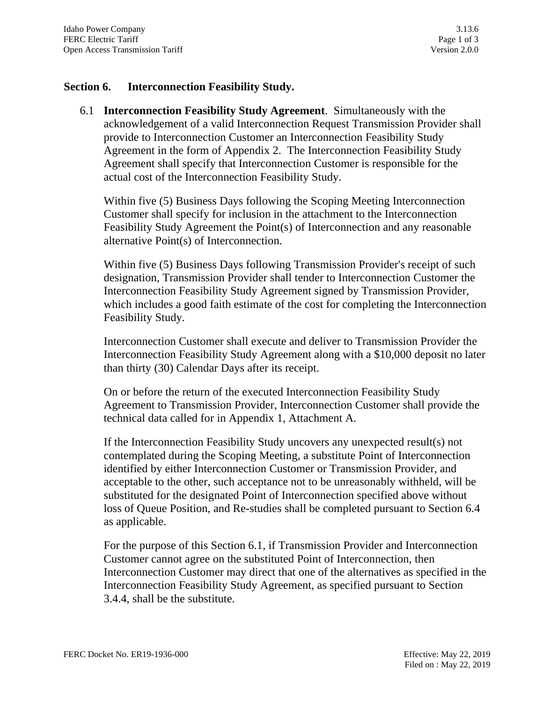### **Section 6. Interconnection Feasibility Study.**

6.1 **Interconnection Feasibility Study Agreement**. Simultaneously with the acknowledgement of a valid Interconnection Request Transmission Provider shall provide to Interconnection Customer an Interconnection Feasibility Study Agreement in the form of Appendix 2. The Interconnection Feasibility Study Agreement shall specify that Interconnection Customer is responsible for the actual cost of the Interconnection Feasibility Study.

Within five (5) Business Days following the Scoping Meeting Interconnection Customer shall specify for inclusion in the attachment to the Interconnection Feasibility Study Agreement the Point(s) of Interconnection and any reasonable alternative Point(s) of Interconnection.

Within five (5) Business Days following Transmission Provider's receipt of such designation, Transmission Provider shall tender to Interconnection Customer the Interconnection Feasibility Study Agreement signed by Transmission Provider, which includes a good faith estimate of the cost for completing the Interconnection Feasibility Study.

Interconnection Customer shall execute and deliver to Transmission Provider the Interconnection Feasibility Study Agreement along with a \$10,000 deposit no later than thirty (30) Calendar Days after its receipt.

On or before the return of the executed Interconnection Feasibility Study Agreement to Transmission Provider, Interconnection Customer shall provide the technical data called for in Appendix 1, Attachment A.

If the Interconnection Feasibility Study uncovers any unexpected result(s) not contemplated during the Scoping Meeting, a substitute Point of Interconnection identified by either Interconnection Customer or Transmission Provider, and acceptable to the other, such acceptance not to be unreasonably withheld, will be substituted for the designated Point of Interconnection specified above without loss of Queue Position, and Re-studies shall be completed pursuant to Section 6.4 as applicable.

For the purpose of this Section 6.1, if Transmission Provider and Interconnection Customer cannot agree on the substituted Point of Interconnection, then Interconnection Customer may direct that one of the alternatives as specified in the Interconnection Feasibility Study Agreement, as specified pursuant to Section 3.4.4, shall be the substitute.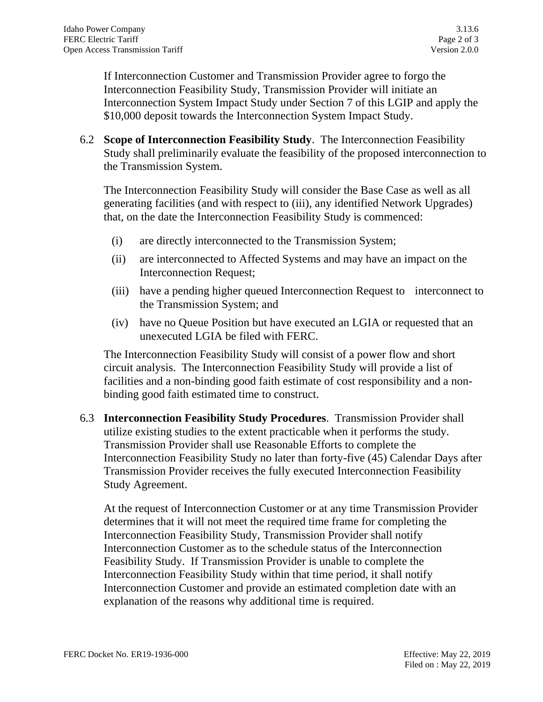If Interconnection Customer and Transmission Provider agree to forgo the Interconnection Feasibility Study, Transmission Provider will initiate an Interconnection System Impact Study under Section 7 of this LGIP and apply the \$10,000 deposit towards the Interconnection System Impact Study.

6.2 **Scope of Interconnection Feasibility Study**. The Interconnection Feasibility Study shall preliminarily evaluate the feasibility of the proposed interconnection to the Transmission System.

The Interconnection Feasibility Study will consider the Base Case as well as all generating facilities (and with respect to (iii), any identified Network Upgrades) that, on the date the Interconnection Feasibility Study is commenced:

- (i) are directly interconnected to the Transmission System;
- (ii) are interconnected to Affected Systems and may have an impact on the Interconnection Request;
- (iii) have a pending higher queued Interconnection Request to interconnect to the Transmission System; and
- (iv) have no Queue Position but have executed an LGIA or requested that an unexecuted LGIA be filed with FERC.

The Interconnection Feasibility Study will consist of a power flow and short circuit analysis. The Interconnection Feasibility Study will provide a list of facilities and a non-binding good faith estimate of cost responsibility and a nonbinding good faith estimated time to construct.

6.3 **Interconnection Feasibility Study Procedures**. Transmission Provider shall utilize existing studies to the extent practicable when it performs the study. Transmission Provider shall use Reasonable Efforts to complete the Interconnection Feasibility Study no later than forty-five (45) Calendar Days after Transmission Provider receives the fully executed Interconnection Feasibility Study Agreement.

At the request of Interconnection Customer or at any time Transmission Provider determines that it will not meet the required time frame for completing the Interconnection Feasibility Study, Transmission Provider shall notify Interconnection Customer as to the schedule status of the Interconnection Feasibility Study. If Transmission Provider is unable to complete the Interconnection Feasibility Study within that time period, it shall notify Interconnection Customer and provide an estimated completion date with an explanation of the reasons why additional time is required.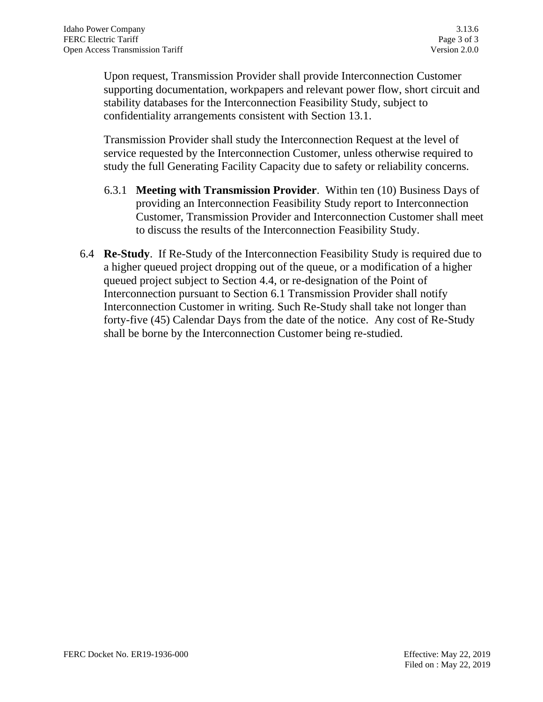Upon request, Transmission Provider shall provide Interconnection Customer supporting documentation, workpapers and relevant power flow, short circuit and stability databases for the Interconnection Feasibility Study, subject to confidentiality arrangements consistent with Section 13.1.

Transmission Provider shall study the Interconnection Request at the level of service requested by the Interconnection Customer, unless otherwise required to study the full Generating Facility Capacity due to safety or reliability concerns.

- 6.3.1 **Meeting with Transmission Provider**. Within ten (10) Business Days of providing an Interconnection Feasibility Study report to Interconnection Customer, Transmission Provider and Interconnection Customer shall meet to discuss the results of the Interconnection Feasibility Study.
- 6.4 **Re-Study**. If Re-Study of the Interconnection Feasibility Study is required due to a higher queued project dropping out of the queue, or a modification of a higher queued project subject to Section 4.4, or re-designation of the Point of Interconnection pursuant to Section 6.1 Transmission Provider shall notify Interconnection Customer in writing. Such Re-Study shall take not longer than forty-five (45) Calendar Days from the date of the notice. Any cost of Re-Study shall be borne by the Interconnection Customer being re-studied.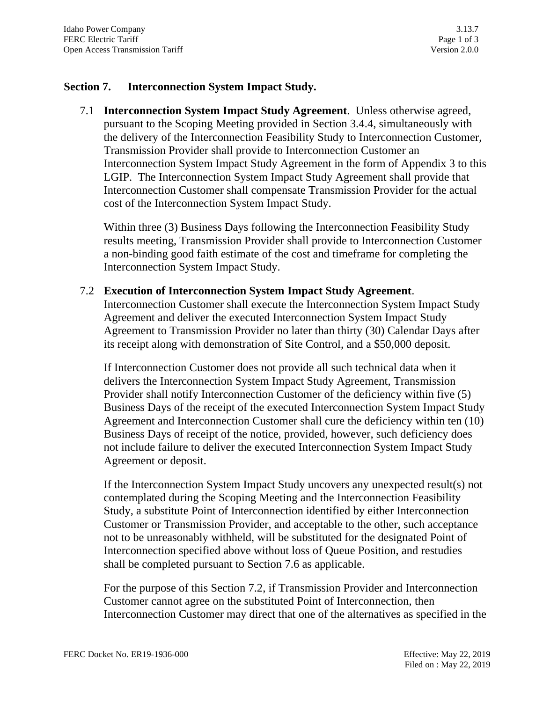### **Section 7. Interconnection System Impact Study.**

7.1 **Interconnection System Impact Study Agreement**. Unless otherwise agreed, pursuant to the Scoping Meeting provided in Section 3.4.4, simultaneously with the delivery of the Interconnection Feasibility Study to Interconnection Customer, Transmission Provider shall provide to Interconnection Customer an Interconnection System Impact Study Agreement in the form of Appendix 3 to this LGIP. The Interconnection System Impact Study Agreement shall provide that Interconnection Customer shall compensate Transmission Provider for the actual cost of the Interconnection System Impact Study.

Within three (3) Business Days following the Interconnection Feasibility Study results meeting, Transmission Provider shall provide to Interconnection Customer a non-binding good faith estimate of the cost and timeframe for completing the Interconnection System Impact Study.

#### 7.2 **Execution of Interconnection System Impact Study Agreement**.

Interconnection Customer shall execute the Interconnection System Impact Study Agreement and deliver the executed Interconnection System Impact Study Agreement to Transmission Provider no later than thirty (30) Calendar Days after its receipt along with demonstration of Site Control, and a \$50,000 deposit.

If Interconnection Customer does not provide all such technical data when it delivers the Interconnection System Impact Study Agreement, Transmission Provider shall notify Interconnection Customer of the deficiency within five (5) Business Days of the receipt of the executed Interconnection System Impact Study Agreement and Interconnection Customer shall cure the deficiency within ten (10) Business Days of receipt of the notice, provided, however, such deficiency does not include failure to deliver the executed Interconnection System Impact Study Agreement or deposit.

If the Interconnection System Impact Study uncovers any unexpected result(s) not contemplated during the Scoping Meeting and the Interconnection Feasibility Study, a substitute Point of Interconnection identified by either Interconnection Customer or Transmission Provider, and acceptable to the other, such acceptance not to be unreasonably withheld, will be substituted for the designated Point of Interconnection specified above without loss of Queue Position, and restudies shall be completed pursuant to Section 7.6 as applicable.

For the purpose of this Section 7.2, if Transmission Provider and Interconnection Customer cannot agree on the substituted Point of Interconnection, then Interconnection Customer may direct that one of the alternatives as specified in the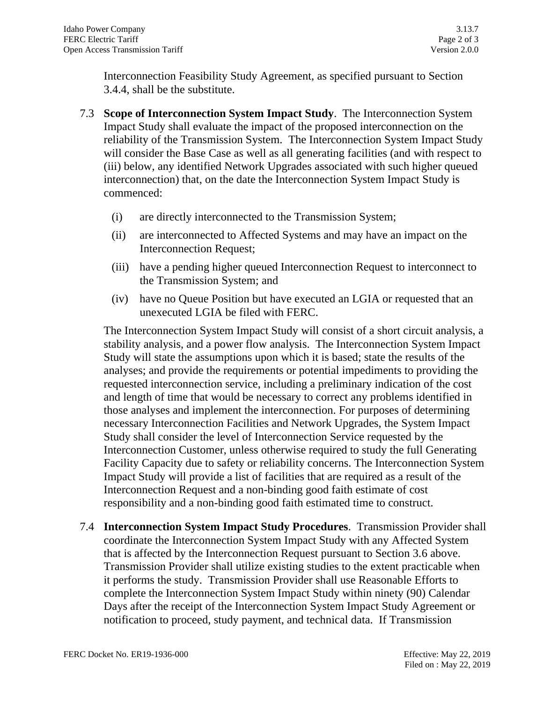Interconnection Feasibility Study Agreement, as specified pursuant to Section 3.4.4, shall be the substitute.

- 7.3 **Scope of Interconnection System Impact Study**. The Interconnection System Impact Study shall evaluate the impact of the proposed interconnection on the reliability of the Transmission System. The Interconnection System Impact Study will consider the Base Case as well as all generating facilities (and with respect to (iii) below, any identified Network Upgrades associated with such higher queued interconnection) that, on the date the Interconnection System Impact Study is commenced:
	- (i) are directly interconnected to the Transmission System;
	- (ii) are interconnected to Affected Systems and may have an impact on the Interconnection Request;
	- (iii) have a pending higher queued Interconnection Request to interconnect to the Transmission System; and
	- (iv) have no Queue Position but have executed an LGIA or requested that an unexecuted LGIA be filed with FERC.

The Interconnection System Impact Study will consist of a short circuit analysis, a stability analysis, and a power flow analysis. The Interconnection System Impact Study will state the assumptions upon which it is based; state the results of the analyses; and provide the requirements or potential impediments to providing the requested interconnection service, including a preliminary indication of the cost and length of time that would be necessary to correct any problems identified in those analyses and implement the interconnection. For purposes of determining necessary Interconnection Facilities and Network Upgrades, the System Impact Study shall consider the level of Interconnection Service requested by the Interconnection Customer, unless otherwise required to study the full Generating Facility Capacity due to safety or reliability concerns. The Interconnection System Impact Study will provide a list of facilities that are required as a result of the Interconnection Request and a non-binding good faith estimate of cost responsibility and a non-binding good faith estimated time to construct.

7.4 **Interconnection System Impact Study Procedures**. Transmission Provider shall coordinate the Interconnection System Impact Study with any Affected System that is affected by the Interconnection Request pursuant to Section 3.6 above. Transmission Provider shall utilize existing studies to the extent practicable when it performs the study. Transmission Provider shall use Reasonable Efforts to complete the Interconnection System Impact Study within ninety (90) Calendar Days after the receipt of the Interconnection System Impact Study Agreement or notification to proceed, study payment, and technical data. If Transmission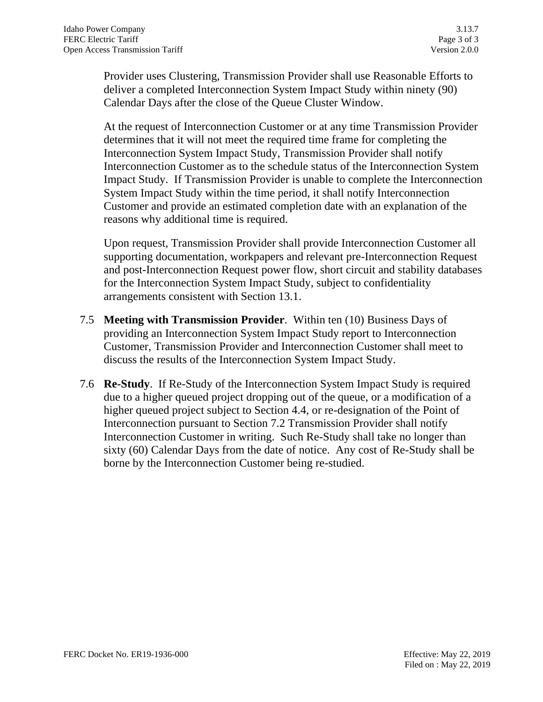Provider uses Clustering, Transmission Provider shall use Reasonable Efforts to deliver a completed Interconnection System Impact Study within ninety (90) Calendar Days after the close of the Queue Cluster Window.

At the request of Interconnection Customer or at any time Transmission Provider determines that it will not meet the required time frame for completing the Interconnection System Impact Study, Transmission Provider shall notify Interconnection Customer as to the schedule status of the Interconnection System Impact Study. If Transmission Provider is unable to complete the Interconnection System Impact Study within the time period, it shall notify Interconnection Customer and provide an estimated completion date with an explanation of the reasons why additional time is required.

Upon request, Transmission Provider shall provide Interconnection Customer all supporting documentation, workpapers and relevant pre-Interconnection Request and post-Interconnection Request power flow, short circuit and stability databases for the Interconnection System Impact Study, subject to confidentiality arrangements consistent with Section 13.1.

- 7.5 **Meeting with Transmission Provider**. Within ten (10) Business Days of providing an Interconnection System Impact Study report to Interconnection Customer, Transmission Provider and Interconnection Customer shall meet to discuss the results of the Interconnection System Impact Study.
- 7.6 **Re-Study**. If Re-Study of the Interconnection System Impact Study is required due to a higher queued project dropping out of the queue, or a modification of a higher queued project subject to Section 4.4, or re-designation of the Point of Interconnection pursuant to Section 7.2 Transmission Provider shall notify Interconnection Customer in writing. Such Re-Study shall take no longer than sixty (60) Calendar Days from the date of notice. Any cost of Re-Study shall be borne by the Interconnection Customer being re-studied.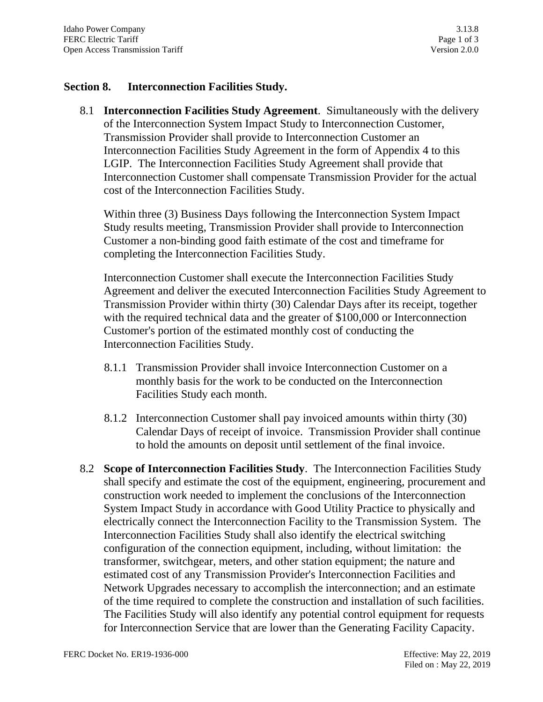### **Section 8. Interconnection Facilities Study.**

8.1 **Interconnection Facilities Study Agreement**. Simultaneously with the delivery of the Interconnection System Impact Study to Interconnection Customer, Transmission Provider shall provide to Interconnection Customer an Interconnection Facilities Study Agreement in the form of Appendix 4 to this LGIP. The Interconnection Facilities Study Agreement shall provide that Interconnection Customer shall compensate Transmission Provider for the actual cost of the Interconnection Facilities Study.

Within three (3) Business Days following the Interconnection System Impact Study results meeting, Transmission Provider shall provide to Interconnection Customer a non-binding good faith estimate of the cost and timeframe for completing the Interconnection Facilities Study.

Interconnection Customer shall execute the Interconnection Facilities Study Agreement and deliver the executed Interconnection Facilities Study Agreement to Transmission Provider within thirty (30) Calendar Days after its receipt, together with the required technical data and the greater of \$100,000 or Interconnection Customer's portion of the estimated monthly cost of conducting the Interconnection Facilities Study.

- 8.1.1 Transmission Provider shall invoice Interconnection Customer on a monthly basis for the work to be conducted on the Interconnection Facilities Study each month.
- 8.1.2 Interconnection Customer shall pay invoiced amounts within thirty (30) Calendar Days of receipt of invoice. Transmission Provider shall continue to hold the amounts on deposit until settlement of the final invoice.
- 8.2 **Scope of Interconnection Facilities Study**. The Interconnection Facilities Study shall specify and estimate the cost of the equipment, engineering, procurement and construction work needed to implement the conclusions of the Interconnection System Impact Study in accordance with Good Utility Practice to physically and electrically connect the Interconnection Facility to the Transmission System. The Interconnection Facilities Study shall also identify the electrical switching configuration of the connection equipment, including, without limitation: the transformer, switchgear, meters, and other station equipment; the nature and estimated cost of any Transmission Provider's Interconnection Facilities and Network Upgrades necessary to accomplish the interconnection; and an estimate of the time required to complete the construction and installation of such facilities. The Facilities Study will also identify any potential control equipment for requests for Interconnection Service that are lower than the Generating Facility Capacity.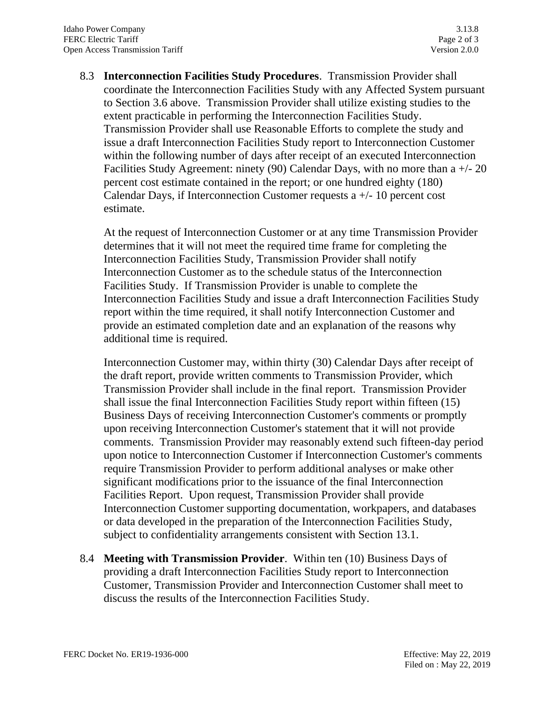8.3 **Interconnection Facilities Study Procedures**. Transmission Provider shall coordinate the Interconnection Facilities Study with any Affected System pursuant to Section 3.6 above. Transmission Provider shall utilize existing studies to the extent practicable in performing the Interconnection Facilities Study. Transmission Provider shall use Reasonable Efforts to complete the study and issue a draft Interconnection Facilities Study report to Interconnection Customer within the following number of days after receipt of an executed Interconnection Facilities Study Agreement: ninety (90) Calendar Days, with no more than a +/- 20 percent cost estimate contained in the report; or one hundred eighty (180) Calendar Days, if Interconnection Customer requests a  $+/-10$  percent cost estimate.

At the request of Interconnection Customer or at any time Transmission Provider determines that it will not meet the required time frame for completing the Interconnection Facilities Study, Transmission Provider shall notify Interconnection Customer as to the schedule status of the Interconnection Facilities Study. If Transmission Provider is unable to complete the Interconnection Facilities Study and issue a draft Interconnection Facilities Study report within the time required, it shall notify Interconnection Customer and provide an estimated completion date and an explanation of the reasons why additional time is required.

Interconnection Customer may, within thirty (30) Calendar Days after receipt of the draft report, provide written comments to Transmission Provider, which Transmission Provider shall include in the final report. Transmission Provider shall issue the final Interconnection Facilities Study report within fifteen (15) Business Days of receiving Interconnection Customer's comments or promptly upon receiving Interconnection Customer's statement that it will not provide comments. Transmission Provider may reasonably extend such fifteen-day period upon notice to Interconnection Customer if Interconnection Customer's comments require Transmission Provider to perform additional analyses or make other significant modifications prior to the issuance of the final Interconnection Facilities Report. Upon request, Transmission Provider shall provide Interconnection Customer supporting documentation, workpapers, and databases or data developed in the preparation of the Interconnection Facilities Study, subject to confidentiality arrangements consistent with Section 13.1.

8.4 **Meeting with Transmission Provider**. Within ten (10) Business Days of providing a draft Interconnection Facilities Study report to Interconnection Customer, Transmission Provider and Interconnection Customer shall meet to discuss the results of the Interconnection Facilities Study.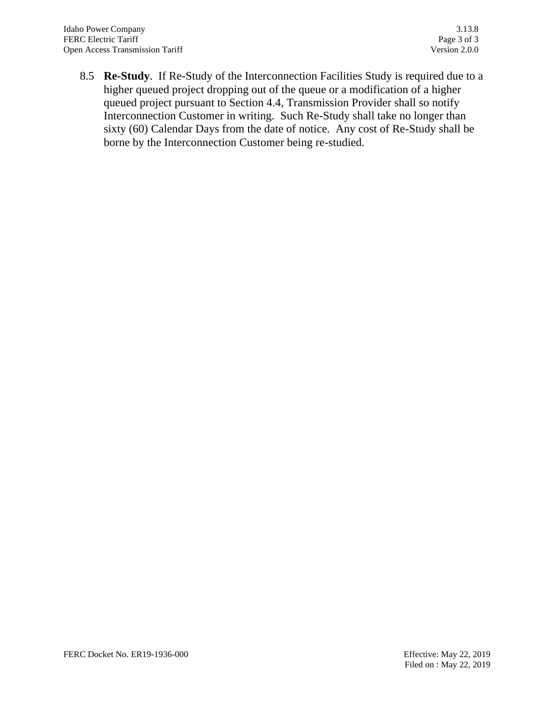8.5 **Re-Study**. If Re-Study of the Interconnection Facilities Study is required due to a higher queued project dropping out of the queue or a modification of a higher queued project pursuant to Section 4.4, Transmission Provider shall so notify Interconnection Customer in writing. Such Re-Study shall take no longer than sixty (60) Calendar Days from the date of notice. Any cost of Re-Study shall be borne by the Interconnection Customer being re-studied.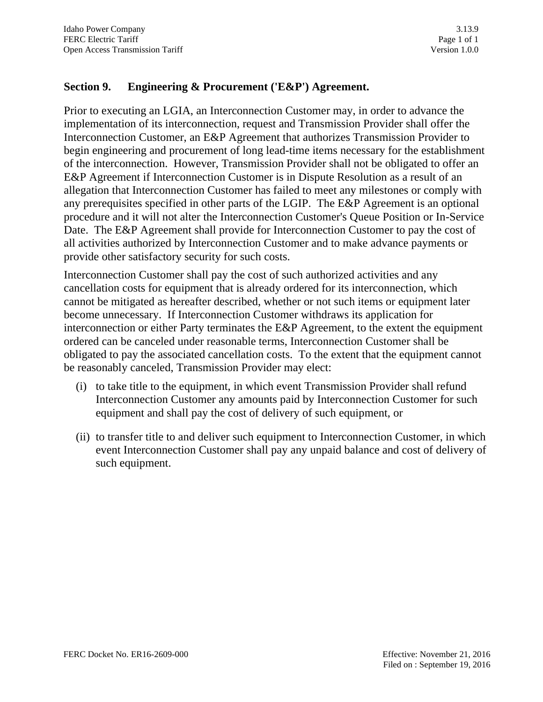# **Section 9. Engineering & Procurement ('E&P') Agreement.**

Prior to executing an LGIA, an Interconnection Customer may, in order to advance the implementation of its interconnection, request and Transmission Provider shall offer the Interconnection Customer, an E&P Agreement that authorizes Transmission Provider to begin engineering and procurement of long lead-time items necessary for the establishment of the interconnection. However, Transmission Provider shall not be obligated to offer an E&P Agreement if Interconnection Customer is in Dispute Resolution as a result of an allegation that Interconnection Customer has failed to meet any milestones or comply with any prerequisites specified in other parts of the LGIP. The E&P Agreement is an optional procedure and it will not alter the Interconnection Customer's Queue Position or In-Service Date. The E&P Agreement shall provide for Interconnection Customer to pay the cost of all activities authorized by Interconnection Customer and to make advance payments or provide other satisfactory security for such costs.

Interconnection Customer shall pay the cost of such authorized activities and any cancellation costs for equipment that is already ordered for its interconnection, which cannot be mitigated as hereafter described, whether or not such items or equipment later become unnecessary. If Interconnection Customer withdraws its application for interconnection or either Party terminates the E&P Agreement, to the extent the equipment ordered can be canceled under reasonable terms, Interconnection Customer shall be obligated to pay the associated cancellation costs. To the extent that the equipment cannot be reasonably canceled, Transmission Provider may elect:

- (i) to take title to the equipment, in which event Transmission Provider shall refund Interconnection Customer any amounts paid by Interconnection Customer for such equipment and shall pay the cost of delivery of such equipment, or
- (ii) to transfer title to and deliver such equipment to Interconnection Customer, in which event Interconnection Customer shall pay any unpaid balance and cost of delivery of such equipment.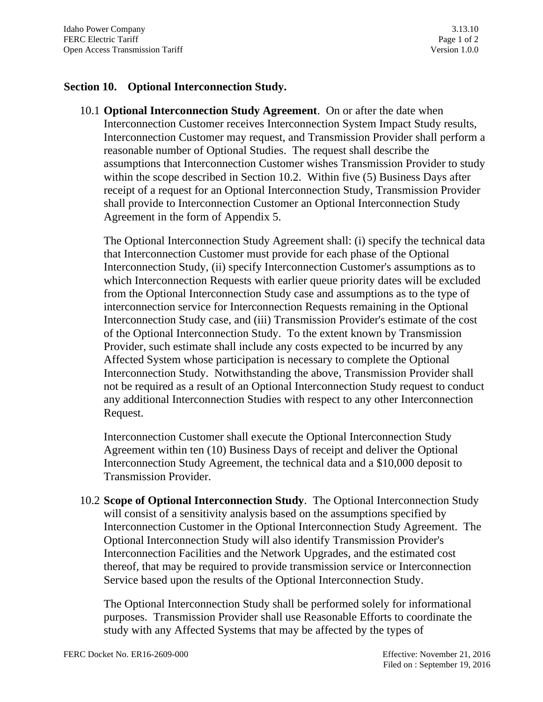# **Section 10. Optional Interconnection Study.**

10.1 **Optional Interconnection Study Agreement**. On or after the date when Interconnection Customer receives Interconnection System Impact Study results, Interconnection Customer may request, and Transmission Provider shall perform a reasonable number of Optional Studies. The request shall describe the assumptions that Interconnection Customer wishes Transmission Provider to study within the scope described in Section 10.2. Within five (5) Business Days after receipt of a request for an Optional Interconnection Study, Transmission Provider shall provide to Interconnection Customer an Optional Interconnection Study Agreement in the form of Appendix 5.

The Optional Interconnection Study Agreement shall: (i) specify the technical data that Interconnection Customer must provide for each phase of the Optional Interconnection Study, (ii) specify Interconnection Customer's assumptions as to which Interconnection Requests with earlier queue priority dates will be excluded from the Optional Interconnection Study case and assumptions as to the type of interconnection service for Interconnection Requests remaining in the Optional Interconnection Study case, and (iii) Transmission Provider's estimate of the cost of the Optional Interconnection Study. To the extent known by Transmission Provider, such estimate shall include any costs expected to be incurred by any Affected System whose participation is necessary to complete the Optional Interconnection Study. Notwithstanding the above, Transmission Provider shall not be required as a result of an Optional Interconnection Study request to conduct any additional Interconnection Studies with respect to any other Interconnection Request.

Interconnection Customer shall execute the Optional Interconnection Study Agreement within ten (10) Business Days of receipt and deliver the Optional Interconnection Study Agreement, the technical data and a \$10,000 deposit to Transmission Provider.

10.2 **Scope of Optional Interconnection Study**. The Optional Interconnection Study will consist of a sensitivity analysis based on the assumptions specified by Interconnection Customer in the Optional Interconnection Study Agreement. The Optional Interconnection Study will also identify Transmission Provider's Interconnection Facilities and the Network Upgrades, and the estimated cost thereof, that may be required to provide transmission service or Interconnection Service based upon the results of the Optional Interconnection Study.

The Optional Interconnection Study shall be performed solely for informational purposes. Transmission Provider shall use Reasonable Efforts to coordinate the study with any Affected Systems that may be affected by the types of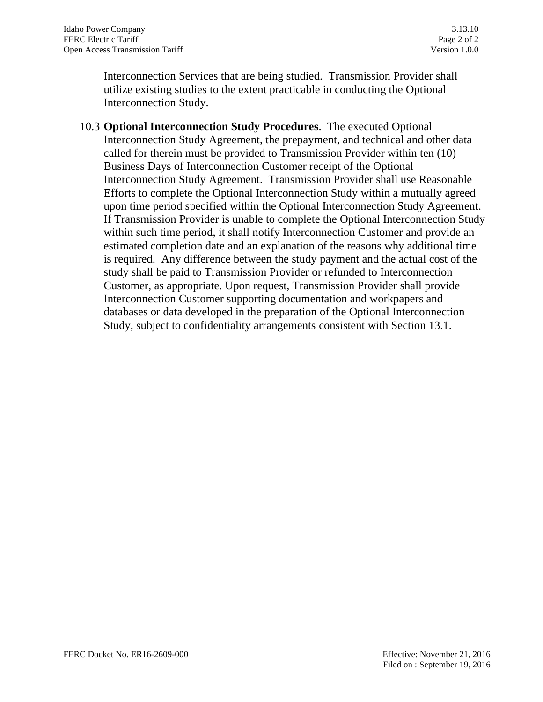Interconnection Services that are being studied. Transmission Provider shall utilize existing studies to the extent practicable in conducting the Optional Interconnection Study.

10.3 **Optional Interconnection Study Procedures**. The executed Optional Interconnection Study Agreement, the prepayment, and technical and other data called for therein must be provided to Transmission Provider within ten (10) Business Days of Interconnection Customer receipt of the Optional Interconnection Study Agreement. Transmission Provider shall use Reasonable Efforts to complete the Optional Interconnection Study within a mutually agreed upon time period specified within the Optional Interconnection Study Agreement. If Transmission Provider is unable to complete the Optional Interconnection Study within such time period, it shall notify Interconnection Customer and provide an estimated completion date and an explanation of the reasons why additional time is required. Any difference between the study payment and the actual cost of the study shall be paid to Transmission Provider or refunded to Interconnection Customer, as appropriate. Upon request, Transmission Provider shall provide Interconnection Customer supporting documentation and workpapers and databases or data developed in the preparation of the Optional Interconnection Study, subject to confidentiality arrangements consistent with Section 13.1.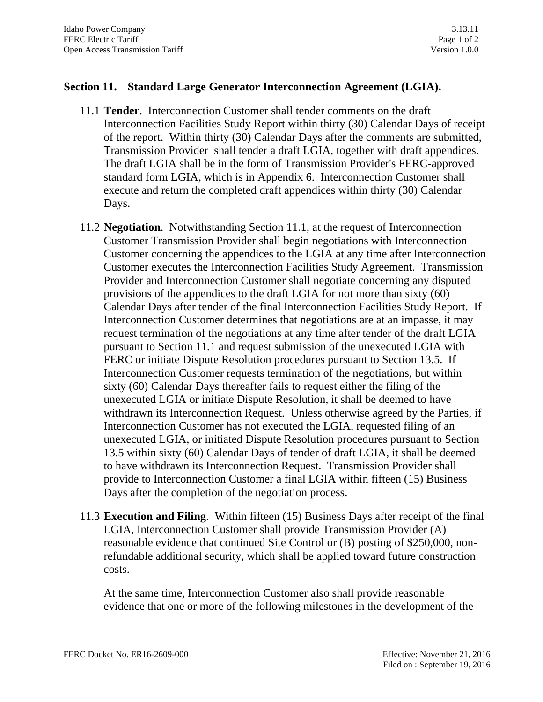# **Section 11. Standard Large Generator Interconnection Agreement (LGIA).**

- 11.1 **Tender**. Interconnection Customer shall tender comments on the draft Interconnection Facilities Study Report within thirty (30) Calendar Days of receipt of the report. Within thirty (30) Calendar Days after the comments are submitted, Transmission Provider shall tender a draft LGIA, together with draft appendices. The draft LGIA shall be in the form of Transmission Provider's FERC-approved standard form LGIA, which is in Appendix 6. Interconnection Customer shall execute and return the completed draft appendices within thirty (30) Calendar Days.
- 11.2 **Negotiation**. Notwithstanding Section 11.1, at the request of Interconnection Customer Transmission Provider shall begin negotiations with Interconnection Customer concerning the appendices to the LGIA at any time after Interconnection Customer executes the Interconnection Facilities Study Agreement. Transmission Provider and Interconnection Customer shall negotiate concerning any disputed provisions of the appendices to the draft LGIA for not more than sixty (60) Calendar Days after tender of the final Interconnection Facilities Study Report. If Interconnection Customer determines that negotiations are at an impasse, it may request termination of the negotiations at any time after tender of the draft LGIA pursuant to Section 11.1 and request submission of the unexecuted LGIA with FERC or initiate Dispute Resolution procedures pursuant to Section 13.5. If Interconnection Customer requests termination of the negotiations, but within sixty (60) Calendar Days thereafter fails to request either the filing of the unexecuted LGIA or initiate Dispute Resolution, it shall be deemed to have withdrawn its Interconnection Request. Unless otherwise agreed by the Parties, if Interconnection Customer has not executed the LGIA, requested filing of an unexecuted LGIA, or initiated Dispute Resolution procedures pursuant to Section 13.5 within sixty (60) Calendar Days of tender of draft LGIA, it shall be deemed to have withdrawn its Interconnection Request. Transmission Provider shall provide to Interconnection Customer a final LGIA within fifteen (15) Business Days after the completion of the negotiation process.
- 11.3 **Execution and Filing**. Within fifteen (15) Business Days after receipt of the final LGIA, Interconnection Customer shall provide Transmission Provider (A) reasonable evidence that continued Site Control or (B) posting of \$250,000, nonrefundable additional security, which shall be applied toward future construction costs.

At the same time, Interconnection Customer also shall provide reasonable evidence that one or more of the following milestones in the development of the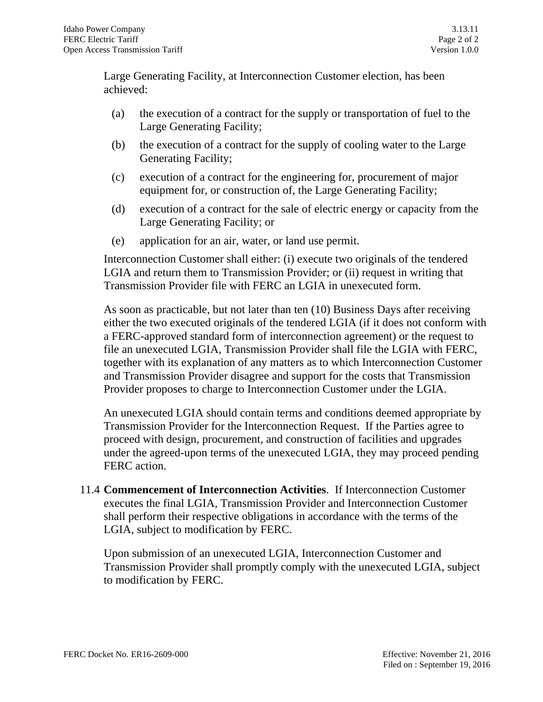Large Generating Facility, at Interconnection Customer election, has been achieved:

- (a) the execution of a contract for the supply or transportation of fuel to the Large Generating Facility;
- (b) the execution of a contract for the supply of cooling water to the Large Generating Facility;
- (c) execution of a contract for the engineering for, procurement of major equipment for, or construction of, the Large Generating Facility;
- (d) execution of a contract for the sale of electric energy or capacity from the Large Generating Facility; or
- (e) application for an air, water, or land use permit.

Interconnection Customer shall either: (i) execute two originals of the tendered LGIA and return them to Transmission Provider; or (ii) request in writing that Transmission Provider file with FERC an LGIA in unexecuted form.

As soon as practicable, but not later than ten (10) Business Days after receiving either the two executed originals of the tendered LGIA (if it does not conform with a FERC-approved standard form of interconnection agreement) or the request to file an unexecuted LGIA, Transmission Provider shall file the LGIA with FERC, together with its explanation of any matters as to which Interconnection Customer and Transmission Provider disagree and support for the costs that Transmission Provider proposes to charge to Interconnection Customer under the LGIA.

An unexecuted LGIA should contain terms and conditions deemed appropriate by Transmission Provider for the Interconnection Request. If the Parties agree to proceed with design, procurement, and construction of facilities and upgrades under the agreed-upon terms of the unexecuted LGIA, they may proceed pending FERC action.

11.4 **Commencement of Interconnection Activities**. If Interconnection Customer executes the final LGIA, Transmission Provider and Interconnection Customer shall perform their respective obligations in accordance with the terms of the LGIA, subject to modification by FERC.

Upon submission of an unexecuted LGIA, Interconnection Customer and Transmission Provider shall promptly comply with the unexecuted LGIA, subject to modification by FERC.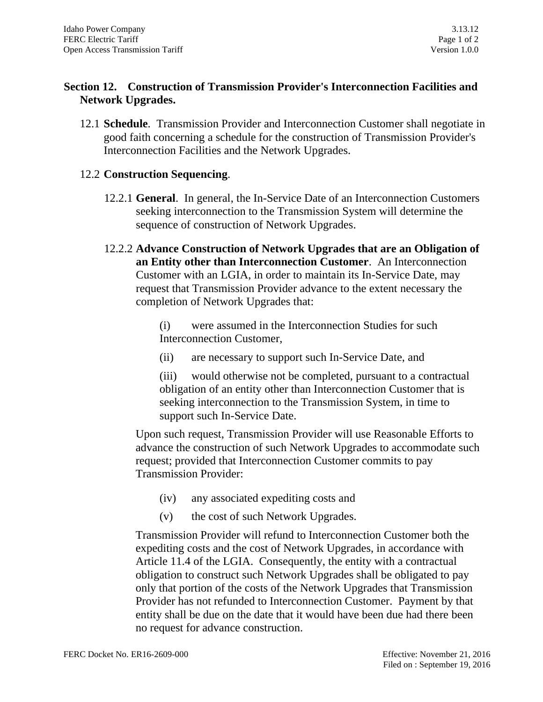# **Section 12. Construction of Transmission Provider's Interconnection Facilities and Network Upgrades.**

12.1 **Schedule**. Transmission Provider and Interconnection Customer shall negotiate in good faith concerning a schedule for the construction of Transmission Provider's Interconnection Facilities and the Network Upgrades.

# 12.2 **Construction Sequencing**.

- 12.2.1 **General**. In general, the In-Service Date of an Interconnection Customers seeking interconnection to the Transmission System will determine the sequence of construction of Network Upgrades.
- 12.2.2 **Advance Construction of Network Upgrades that are an Obligation of an Entity other than Interconnection Customer**. An Interconnection Customer with an LGIA, in order to maintain its In-Service Date, may request that Transmission Provider advance to the extent necessary the completion of Network Upgrades that:

(i) were assumed in the Interconnection Studies for such Interconnection Customer,

(ii) are necessary to support such In-Service Date, and

(iii) would otherwise not be completed, pursuant to a contractual obligation of an entity other than Interconnection Customer that is seeking interconnection to the Transmission System, in time to support such In-Service Date.

Upon such request, Transmission Provider will use Reasonable Efforts to advance the construction of such Network Upgrades to accommodate such request; provided that Interconnection Customer commits to pay Transmission Provider:

- (iv) any associated expediting costs and
- (v) the cost of such Network Upgrades.

Transmission Provider will refund to Interconnection Customer both the expediting costs and the cost of Network Upgrades, in accordance with Article 11.4 of the LGIA. Consequently, the entity with a contractual obligation to construct such Network Upgrades shall be obligated to pay only that portion of the costs of the Network Upgrades that Transmission Provider has not refunded to Interconnection Customer. Payment by that entity shall be due on the date that it would have been due had there been no request for advance construction.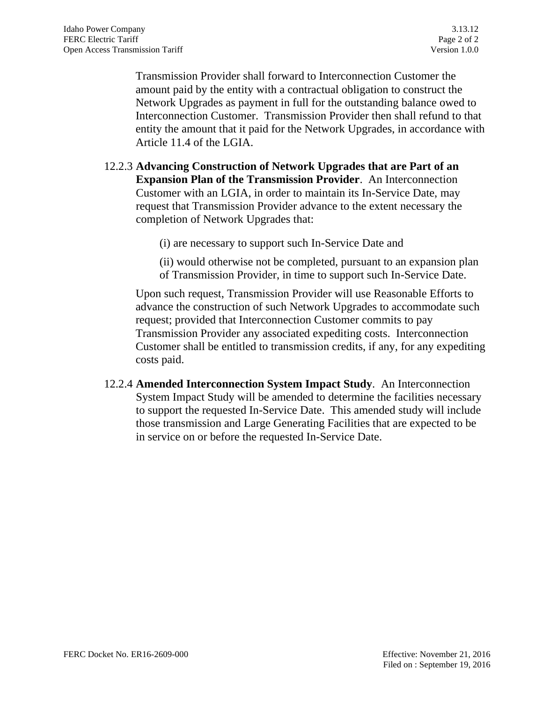Transmission Provider shall forward to Interconnection Customer the amount paid by the entity with a contractual obligation to construct the Network Upgrades as payment in full for the outstanding balance owed to Interconnection Customer. Transmission Provider then shall refund to that entity the amount that it paid for the Network Upgrades, in accordance with Article 11.4 of the LGIA.

12.2.3 **Advancing Construction of Network Upgrades that are Part of an Expansion Plan of the Transmission Provider**. An Interconnection Customer with an LGIA, in order to maintain its In-Service Date, may request that Transmission Provider advance to the extent necessary the completion of Network Upgrades that:

(i) are necessary to support such In-Service Date and

(ii) would otherwise not be completed, pursuant to an expansion plan of Transmission Provider, in time to support such In-Service Date.

Upon such request, Transmission Provider will use Reasonable Efforts to advance the construction of such Network Upgrades to accommodate such request; provided that Interconnection Customer commits to pay Transmission Provider any associated expediting costs. Interconnection Customer shall be entitled to transmission credits, if any, for any expediting costs paid.

12.2.4 **Amended Interconnection System Impact Study**. An Interconnection System Impact Study will be amended to determine the facilities necessary to support the requested In-Service Date. This amended study will include those transmission and Large Generating Facilities that are expected to be in service on or before the requested In-Service Date.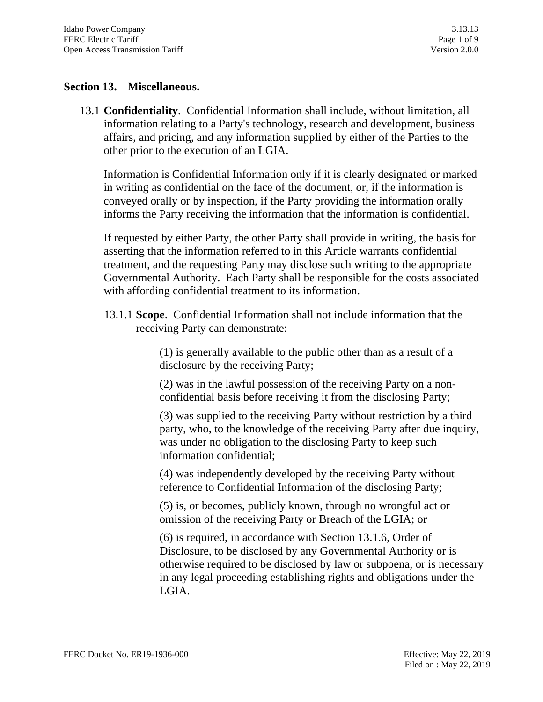### **Section 13. Miscellaneous.**

13.1 **Confidentiality**. Confidential Information shall include, without limitation, all information relating to a Party's technology, research and development, business affairs, and pricing, and any information supplied by either of the Parties to the other prior to the execution of an LGIA.

Information is Confidential Information only if it is clearly designated or marked in writing as confidential on the face of the document, or, if the information is conveyed orally or by inspection, if the Party providing the information orally informs the Party receiving the information that the information is confidential.

If requested by either Party, the other Party shall provide in writing, the basis for asserting that the information referred to in this Article warrants confidential treatment, and the requesting Party may disclose such writing to the appropriate Governmental Authority. Each Party shall be responsible for the costs associated with affording confidential treatment to its information.

13.1.1 **Scope**. Confidential Information shall not include information that the receiving Party can demonstrate:

> (1) is generally available to the public other than as a result of a disclosure by the receiving Party;

> (2) was in the lawful possession of the receiving Party on a nonconfidential basis before receiving it from the disclosing Party;

(3) was supplied to the receiving Party without restriction by a third party, who, to the knowledge of the receiving Party after due inquiry, was under no obligation to the disclosing Party to keep such information confidential;

(4) was independently developed by the receiving Party without reference to Confidential Information of the disclosing Party;

(5) is, or becomes, publicly known, through no wrongful act or omission of the receiving Party or Breach of the LGIA; or

(6) is required, in accordance with Section 13.1.6, Order of Disclosure, to be disclosed by any Governmental Authority or is otherwise required to be disclosed by law or subpoena, or is necessary in any legal proceeding establishing rights and obligations under the LGIA.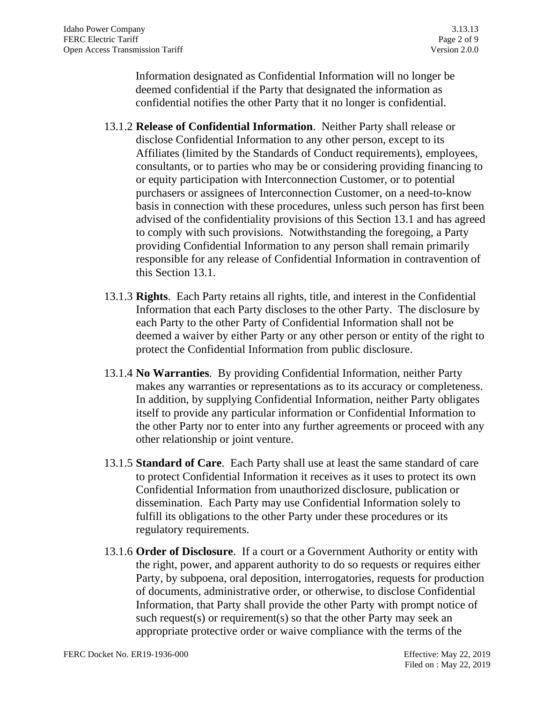Information designated as Confidential Information will no longer be deemed confidential if the Party that designated the information as confidential notifies the other Party that it no longer is confidential.

- 13.1.2 **Release of Confidential Information**. Neither Party shall release or disclose Confidential Information to any other person, except to its Affiliates (limited by the Standards of Conduct requirements), employees, consultants, or to parties who may be or considering providing financing to or equity participation with Interconnection Customer, or to potential purchasers or assignees of Interconnection Customer, on a need-to-know basis in connection with these procedures, unless such person has first been advised of the confidentiality provisions of this Section 13.1 and has agreed to comply with such provisions. Notwithstanding the foregoing, a Party providing Confidential Information to any person shall remain primarily responsible for any release of Confidential Information in contravention of this Section 13.1.
- 13.1.3 **Rights**. Each Party retains all rights, title, and interest in the Confidential Information that each Party discloses to the other Party. The disclosure by each Party to the other Party of Confidential Information shall not be deemed a waiver by either Party or any other person or entity of the right to protect the Confidential Information from public disclosure.
- 13.1.4 **No Warranties**. By providing Confidential Information, neither Party makes any warranties or representations as to its accuracy or completeness. In addition, by supplying Confidential Information, neither Party obligates itself to provide any particular information or Confidential Information to the other Party nor to enter into any further agreements or proceed with any other relationship or joint venture.
- 13.1.5 **Standard of Care**. Each Party shall use at least the same standard of care to protect Confidential Information it receives as it uses to protect its own Confidential Information from unauthorized disclosure, publication or dissemination. Each Party may use Confidential Information solely to fulfill its obligations to the other Party under these procedures or its regulatory requirements.
- 13.1.6 **Order of Disclosure**. If a court or a Government Authority or entity with the right, power, and apparent authority to do so requests or requires either Party, by subpoena, oral deposition, interrogatories, requests for production of documents, administrative order, or otherwise, to disclose Confidential Information, that Party shall provide the other Party with prompt notice of such request(s) or requirement(s) so that the other Party may seek an appropriate protective order or waive compliance with the terms of the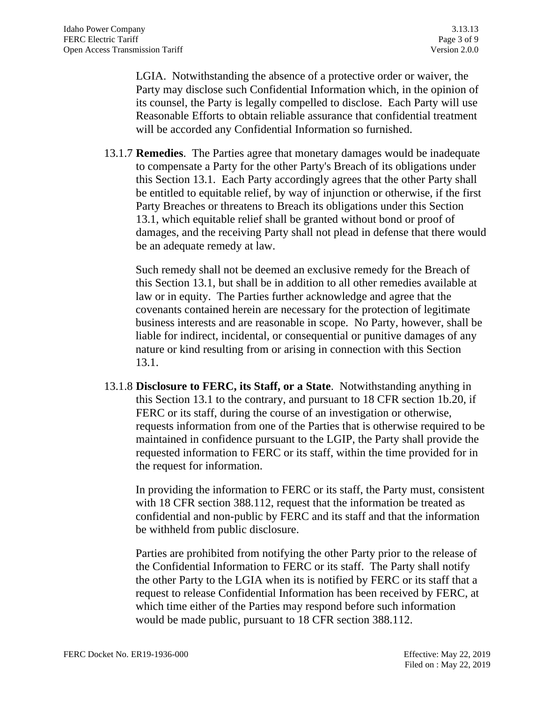LGIA. Notwithstanding the absence of a protective order or waiver, the Party may disclose such Confidential Information which, in the opinion of its counsel, the Party is legally compelled to disclose. Each Party will use Reasonable Efforts to obtain reliable assurance that confidential treatment will be accorded any Confidential Information so furnished.

13.1.7 **Remedies**. The Parties agree that monetary damages would be inadequate to compensate a Party for the other Party's Breach of its obligations under this Section 13.1. Each Party accordingly agrees that the other Party shall be entitled to equitable relief, by way of injunction or otherwise, if the first Party Breaches or threatens to Breach its obligations under this Section 13.1, which equitable relief shall be granted without bond or proof of damages, and the receiving Party shall not plead in defense that there would be an adequate remedy at law.

Such remedy shall not be deemed an exclusive remedy for the Breach of this Section 13.1, but shall be in addition to all other remedies available at law or in equity. The Parties further acknowledge and agree that the covenants contained herein are necessary for the protection of legitimate business interests and are reasonable in scope. No Party, however, shall be liable for indirect, incidental, or consequential or punitive damages of any nature or kind resulting from or arising in connection with this Section 13.1.

13.1.8 **Disclosure to FERC, its Staff, or a State**. Notwithstanding anything in this Section 13.1 to the contrary, and pursuant to 18 CFR section 1b.20, if FERC or its staff, during the course of an investigation or otherwise, requests information from one of the Parties that is otherwise required to be maintained in confidence pursuant to the LGIP, the Party shall provide the requested information to FERC or its staff, within the time provided for in the request for information.

In providing the information to FERC or its staff, the Party must, consistent with 18 CFR section 388.112, request that the information be treated as confidential and non-public by FERC and its staff and that the information be withheld from public disclosure.

Parties are prohibited from notifying the other Party prior to the release of the Confidential Information to FERC or its staff. The Party shall notify the other Party to the LGIA when its is notified by FERC or its staff that a request to release Confidential Information has been received by FERC, at which time either of the Parties may respond before such information would be made public, pursuant to 18 CFR section 388.112.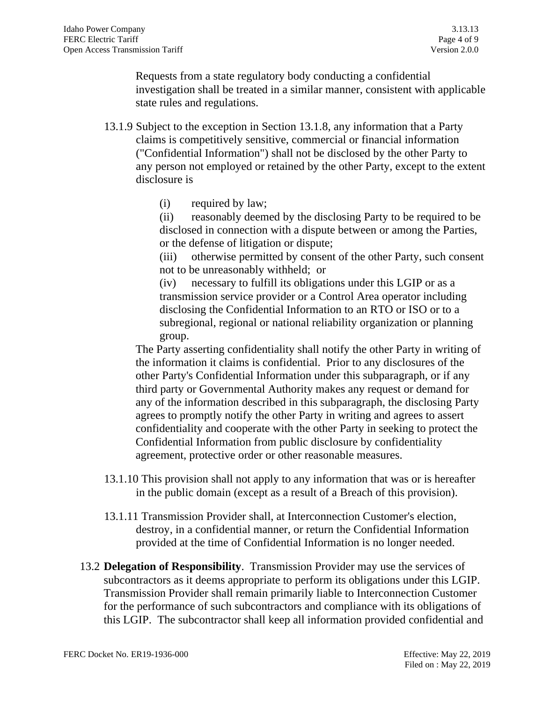Requests from a state regulatory body conducting a confidential investigation shall be treated in a similar manner, consistent with applicable state rules and regulations.

- 13.1.9 Subject to the exception in Section 13.1.8, any information that a Party claims is competitively sensitive, commercial or financial information ("Confidential Information") shall not be disclosed by the other Party to any person not employed or retained by the other Party, except to the extent disclosure is
	- (i) required by law;

(ii) reasonably deemed by the disclosing Party to be required to be disclosed in connection with a dispute between or among the Parties, or the defense of litigation or dispute;

(iii) otherwise permitted by consent of the other Party, such consent not to be unreasonably withheld; or

(iv) necessary to fulfill its obligations under this LGIP or as a transmission service provider or a Control Area operator including disclosing the Confidential Information to an RTO or ISO or to a subregional, regional or national reliability organization or planning group.

The Party asserting confidentiality shall notify the other Party in writing of the information it claims is confidential. Prior to any disclosures of the other Party's Confidential Information under this subparagraph, or if any third party or Governmental Authority makes any request or demand for any of the information described in this subparagraph, the disclosing Party agrees to promptly notify the other Party in writing and agrees to assert confidentiality and cooperate with the other Party in seeking to protect the Confidential Information from public disclosure by confidentiality agreement, protective order or other reasonable measures.

- 13.1.10 This provision shall not apply to any information that was or is hereafter in the public domain (except as a result of a Breach of this provision).
- 13.1.11 Transmission Provider shall, at Interconnection Customer's election, destroy, in a confidential manner, or return the Confidential Information provided at the time of Confidential Information is no longer needed.
- 13.2 **Delegation of Responsibility**. Transmission Provider may use the services of subcontractors as it deems appropriate to perform its obligations under this LGIP. Transmission Provider shall remain primarily liable to Interconnection Customer for the performance of such subcontractors and compliance with its obligations of this LGIP. The subcontractor shall keep all information provided confidential and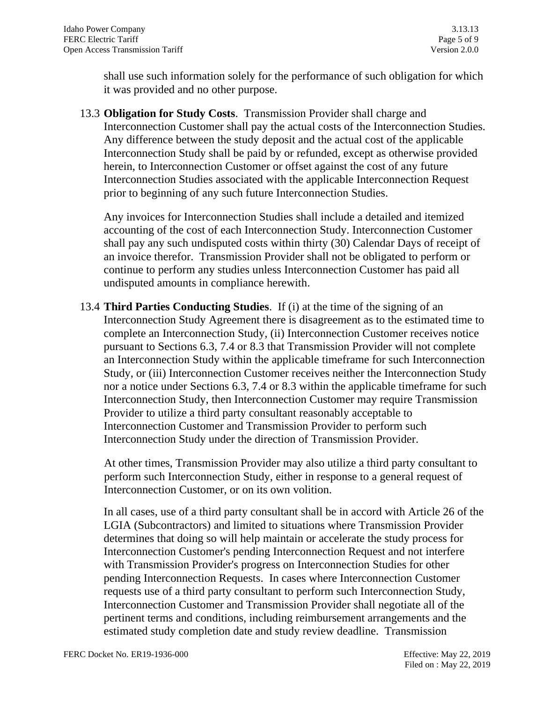shall use such information solely for the performance of such obligation for which it was provided and no other purpose.

13.3 **Obligation for Study Costs**. Transmission Provider shall charge and Interconnection Customer shall pay the actual costs of the Interconnection Studies. Any difference between the study deposit and the actual cost of the applicable Interconnection Study shall be paid by or refunded, except as otherwise provided herein, to Interconnection Customer or offset against the cost of any future Interconnection Studies associated with the applicable Interconnection Request prior to beginning of any such future Interconnection Studies.

Any invoices for Interconnection Studies shall include a detailed and itemized accounting of the cost of each Interconnection Study. Interconnection Customer shall pay any such undisputed costs within thirty (30) Calendar Days of receipt of an invoice therefor. Transmission Provider shall not be obligated to perform or continue to perform any studies unless Interconnection Customer has paid all undisputed amounts in compliance herewith.

13.4 **Third Parties Conducting Studies**. If (i) at the time of the signing of an Interconnection Study Agreement there is disagreement as to the estimated time to complete an Interconnection Study, (ii) Interconnection Customer receives notice pursuant to Sections 6.3, 7.4 or 8.3 that Transmission Provider will not complete an Interconnection Study within the applicable timeframe for such Interconnection Study, or (iii) Interconnection Customer receives neither the Interconnection Study nor a notice under Sections 6.3, 7.4 or 8.3 within the applicable timeframe for such Interconnection Study, then Interconnection Customer may require Transmission Provider to utilize a third party consultant reasonably acceptable to Interconnection Customer and Transmission Provider to perform such Interconnection Study under the direction of Transmission Provider.

At other times, Transmission Provider may also utilize a third party consultant to perform such Interconnection Study, either in response to a general request of Interconnection Customer, or on its own volition.

In all cases, use of a third party consultant shall be in accord with Article 26 of the LGIA (Subcontractors) and limited to situations where Transmission Provider determines that doing so will help maintain or accelerate the study process for Interconnection Customer's pending Interconnection Request and not interfere with Transmission Provider's progress on Interconnection Studies for other pending Interconnection Requests. In cases where Interconnection Customer requests use of a third party consultant to perform such Interconnection Study, Interconnection Customer and Transmission Provider shall negotiate all of the pertinent terms and conditions, including reimbursement arrangements and the estimated study completion date and study review deadline. Transmission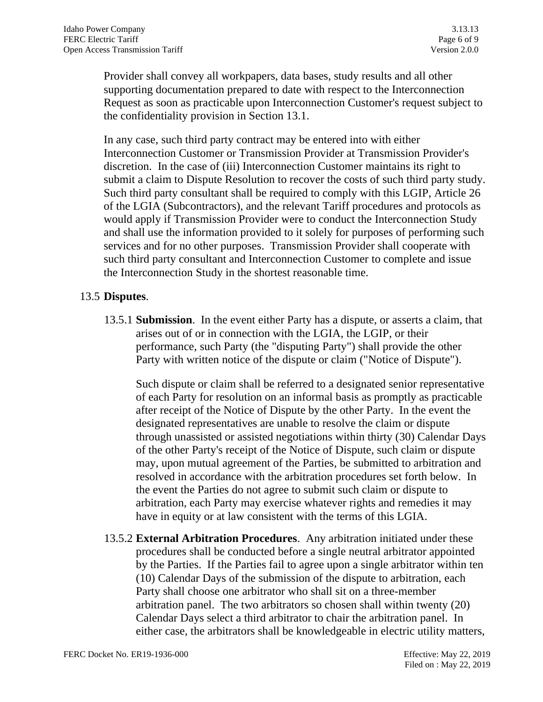Provider shall convey all workpapers, data bases, study results and all other supporting documentation prepared to date with respect to the Interconnection Request as soon as practicable upon Interconnection Customer's request subject to the confidentiality provision in Section 13.1.

In any case, such third party contract may be entered into with either Interconnection Customer or Transmission Provider at Transmission Provider's discretion. In the case of (iii) Interconnection Customer maintains its right to submit a claim to Dispute Resolution to recover the costs of such third party study. Such third party consultant shall be required to comply with this LGIP, Article 26 of the LGIA (Subcontractors), and the relevant Tariff procedures and protocols as would apply if Transmission Provider were to conduct the Interconnection Study and shall use the information provided to it solely for purposes of performing such services and for no other purposes. Transmission Provider shall cooperate with such third party consultant and Interconnection Customer to complete and issue the Interconnection Study in the shortest reasonable time.

### 13.5 **Disputes**.

13.5.1 **Submission**. In the event either Party has a dispute, or asserts a claim, that arises out of or in connection with the LGIA, the LGIP, or their performance, such Party (the "disputing Party") shall provide the other Party with written notice of the dispute or claim ("Notice of Dispute").

Such dispute or claim shall be referred to a designated senior representative of each Party for resolution on an informal basis as promptly as practicable after receipt of the Notice of Dispute by the other Party. In the event the designated representatives are unable to resolve the claim or dispute through unassisted or assisted negotiations within thirty (30) Calendar Days of the other Party's receipt of the Notice of Dispute, such claim or dispute may, upon mutual agreement of the Parties, be submitted to arbitration and resolved in accordance with the arbitration procedures set forth below. In the event the Parties do not agree to submit such claim or dispute to arbitration, each Party may exercise whatever rights and remedies it may have in equity or at law consistent with the terms of this LGIA.

13.5.2 **External Arbitration Procedures**. Any arbitration initiated under these procedures shall be conducted before a single neutral arbitrator appointed by the Parties. If the Parties fail to agree upon a single arbitrator within ten (10) Calendar Days of the submission of the dispute to arbitration, each Party shall choose one arbitrator who shall sit on a three-member arbitration panel. The two arbitrators so chosen shall within twenty (20) Calendar Days select a third arbitrator to chair the arbitration panel. In either case, the arbitrators shall be knowledgeable in electric utility matters,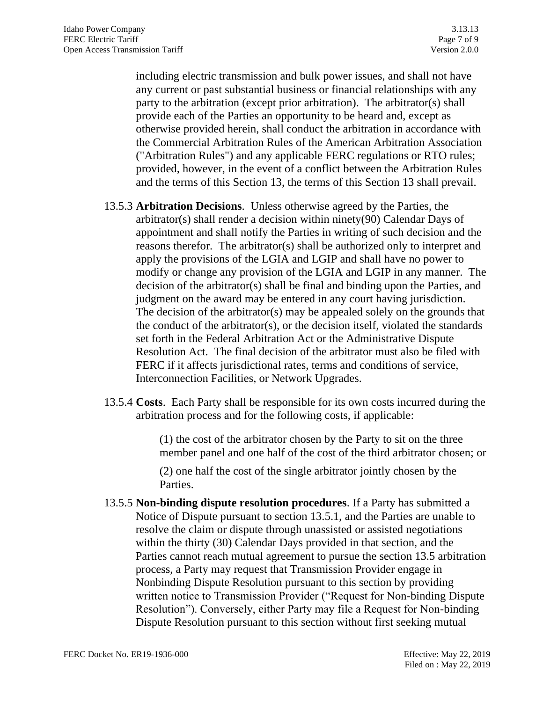including electric transmission and bulk power issues, and shall not have any current or past substantial business or financial relationships with any party to the arbitration (except prior arbitration). The arbitrator(s) shall provide each of the Parties an opportunity to be heard and, except as otherwise provided herein, shall conduct the arbitration in accordance with the Commercial Arbitration Rules of the American Arbitration Association ("Arbitration Rules") and any applicable FERC regulations or RTO rules; provided, however, in the event of a conflict between the Arbitration Rules and the terms of this Section 13, the terms of this Section 13 shall prevail.

- 13.5.3 **Arbitration Decisions**. Unless otherwise agreed by the Parties, the arbitrator(s) shall render a decision within ninety(90) Calendar Days of appointment and shall notify the Parties in writing of such decision and the reasons therefor. The arbitrator(s) shall be authorized only to interpret and apply the provisions of the LGIA and LGIP and shall have no power to modify or change any provision of the LGIA and LGIP in any manner. The decision of the arbitrator(s) shall be final and binding upon the Parties, and judgment on the award may be entered in any court having jurisdiction. The decision of the arbitrator(s) may be appealed solely on the grounds that the conduct of the arbitrator(s), or the decision itself, violated the standards set forth in the Federal Arbitration Act or the Administrative Dispute Resolution Act. The final decision of the arbitrator must also be filed with FERC if it affects jurisdictional rates, terms and conditions of service, Interconnection Facilities, or Network Upgrades.
- 13.5.4 **Costs**. Each Party shall be responsible for its own costs incurred during the arbitration process and for the following costs, if applicable:

(1) the cost of the arbitrator chosen by the Party to sit on the three member panel and one half of the cost of the third arbitrator chosen; or

(2) one half the cost of the single arbitrator jointly chosen by the Parties.

13.5.5 **Non-binding dispute resolution procedures**. If a Party has submitted a Notice of Dispute pursuant to section 13.5.1, and the Parties are unable to resolve the claim or dispute through unassisted or assisted negotiations within the thirty (30) Calendar Days provided in that section, and the Parties cannot reach mutual agreement to pursue the section 13.5 arbitration process, a Party may request that Transmission Provider engage in Nonbinding Dispute Resolution pursuant to this section by providing written notice to Transmission Provider ("Request for Non-binding Dispute Resolution"). Conversely, either Party may file a Request for Non-binding Dispute Resolution pursuant to this section without first seeking mutual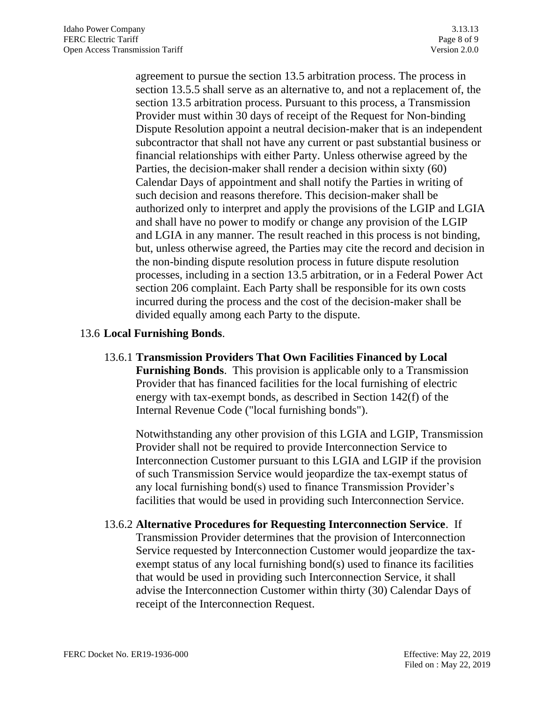agreement to pursue the section 13.5 arbitration process. The process in section 13.5.5 shall serve as an alternative to, and not a replacement of, the section 13.5 arbitration process. Pursuant to this process, a Transmission Provider must within 30 days of receipt of the Request for Non-binding Dispute Resolution appoint a neutral decision-maker that is an independent subcontractor that shall not have any current or past substantial business or financial relationships with either Party. Unless otherwise agreed by the Parties, the decision-maker shall render a decision within sixty (60) Calendar Days of appointment and shall notify the Parties in writing of such decision and reasons therefore. This decision-maker shall be authorized only to interpret and apply the provisions of the LGIP and LGIA and shall have no power to modify or change any provision of the LGIP and LGIA in any manner. The result reached in this process is not binding, but, unless otherwise agreed, the Parties may cite the record and decision in the non-binding dispute resolution process in future dispute resolution processes, including in a section 13.5 arbitration, or in a Federal Power Act section 206 complaint. Each Party shall be responsible for its own costs incurred during the process and the cost of the decision-maker shall be divided equally among each Party to the dispute.

### 13.6 **Local Furnishing Bonds**.

13.6.1 **Transmission Providers That Own Facilities Financed by Local Furnishing Bonds**. This provision is applicable only to a Transmission Provider that has financed facilities for the local furnishing of electric energy with tax-exempt bonds, as described in Section 142(f) of the Internal Revenue Code ("local furnishing bonds").

Notwithstanding any other provision of this LGIA and LGIP, Transmission Provider shall not be required to provide Interconnection Service to Interconnection Customer pursuant to this LGIA and LGIP if the provision of such Transmission Service would jeopardize the tax-exempt status of any local furnishing bond(s) used to finance Transmission Provider's facilities that would be used in providing such Interconnection Service.

13.6.2 **Alternative Procedures for Requesting Interconnection Service**. If Transmission Provider determines that the provision of Interconnection Service requested by Interconnection Customer would jeopardize the taxexempt status of any local furnishing bond(s) used to finance its facilities that would be used in providing such Interconnection Service, it shall advise the Interconnection Customer within thirty (30) Calendar Days of receipt of the Interconnection Request.